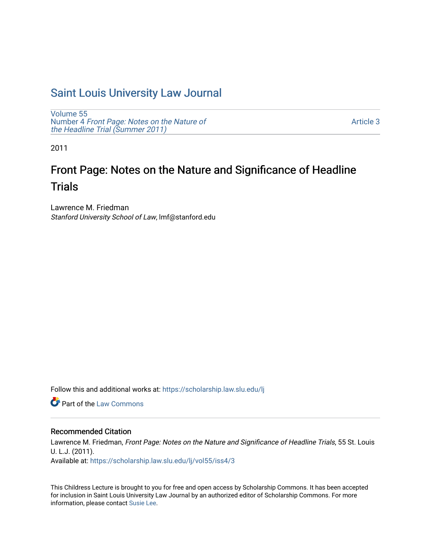## [Saint Louis University Law Journal](https://scholarship.law.slu.edu/lj)

[Volume 55](https://scholarship.law.slu.edu/lj/vol55) Number 4 [Front Page: Notes on the Nature of](https://scholarship.law.slu.edu/lj/vol55/iss4) [the Headline Trial \(Summer 2011\)](https://scholarship.law.slu.edu/lj/vol55/iss4)

[Article 3](https://scholarship.law.slu.edu/lj/vol55/iss4/3) 

2011

# Front Page: Notes on the Nature and Significance of Headline **Trials**

Lawrence M. Friedman Stanford University School of Law, lmf@stanford.edu

Follow this and additional works at: [https://scholarship.law.slu.edu/lj](https://scholarship.law.slu.edu/lj?utm_source=scholarship.law.slu.edu%2Flj%2Fvol55%2Fiss4%2F3&utm_medium=PDF&utm_campaign=PDFCoverPages) 

**C** Part of the [Law Commons](http://network.bepress.com/hgg/discipline/578?utm_source=scholarship.law.slu.edu%2Flj%2Fvol55%2Fiss4%2F3&utm_medium=PDF&utm_campaign=PDFCoverPages)

## Recommended Citation

Lawrence M. Friedman, Front Page: Notes on the Nature and Significance of Headline Trials, 55 St. Louis U. L.J. (2011). Available at: [https://scholarship.law.slu.edu/lj/vol55/iss4/3](https://scholarship.law.slu.edu/lj/vol55/iss4/3?utm_source=scholarship.law.slu.edu%2Flj%2Fvol55%2Fiss4%2F3&utm_medium=PDF&utm_campaign=PDFCoverPages) 

This Childress Lecture is brought to you for free and open access by Scholarship Commons. It has been accepted for inclusion in Saint Louis University Law Journal by an authorized editor of Scholarship Commons. For more information, please contact [Susie Lee](mailto:susie.lee@slu.edu).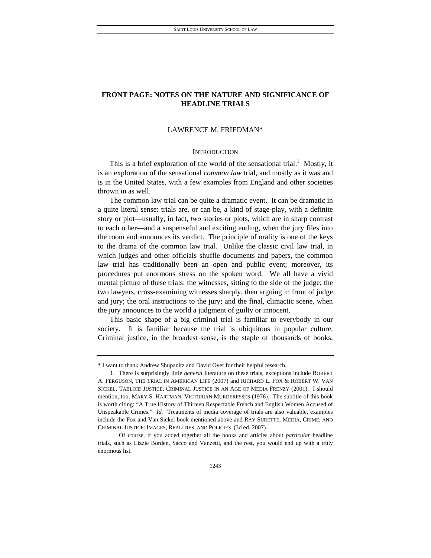## **FRONT PAGE: NOTES ON THE NATURE AND SIGNIFICANCE OF HEADLINE TRIALS**

## LAWRENCE M. FRIEDMAN\*

## **INTRODUCTION**

This is a brief exploration of the world of the sensational trial.<sup>1</sup> Mostly, it is an exploration of the sensational *common law* trial, and mostly as it was and is in the United States, with a few examples from England and other societies thrown in as well.

The common law trial can be quite a dramatic event. It can be dramatic in a quite literal sense: trials are, or can be, a kind of stage-play, with a definite story or plot—usually, in fact, *two* stories or plots, which are in sharp contrast to each other—and a suspenseful and exciting ending, when the jury files into the room and announces its verdict. The principle of orality is one of the keys to the drama of the common law trial. Unlike the classic civil law trial, in which judges and other officials shuffle documents and papers, the common law trial has traditionally been an open and public event; moreover, its procedures put enormous stress on the spoken word. We all have a vivid mental picture of these trials: the witnesses, sitting to the side of the judge; the two lawyers, cross-examining witnesses sharply, then arguing in front of judge and jury; the oral instructions to the jury; and the final, climactic scene, when the jury announces to the world a judgment of guilty or innocent.

This basic shape of a big criminal trial is familiar to everybody in our society. It is familiar because the trial is ubiquitous in popular culture. Criminal justice, in the broadest sense, is the staple of thousands of books,

<sup>\*</sup> I want to thank Andrew Shupanitz and David Oyer for their helpful research.

 <sup>1.</sup> There is surprisingly little *general* literature on these trials, exceptions include ROBERT A. FERGUSON, THE TRIAL IN AMERICAN LIFE (2007) and RICHARD L. FOX & ROBERT W. VAN SICKEL, TABLOID JUSTICE: CRIMINAL JUSTICE IN AN AGE OF MEDIA FRENZY (2001). I should mention, too, MARY S. HARTMAN, VICTORIAN MURDERESSES (1976). The subtitle of this book is worth citing: "A True History of Thirteen Respectable French and English Women Accused of Unspeakable Crimes." *Id.* Treatments of media coverage of trials are also valuable, examples include the Fox and Van Sickel book mentioned above and RAY SURETTE, MEDIA, CRIME, AND CRIMINAL JUSTICE: IMAGES, REALITIES, AND POLICIES (3d ed. 2007).

Of course, if you added together all the books and articles about *particular* headline trials, such as Lizzie Borden, Sacco and Vanzetti, and the rest, you would end up with a truly enormous list.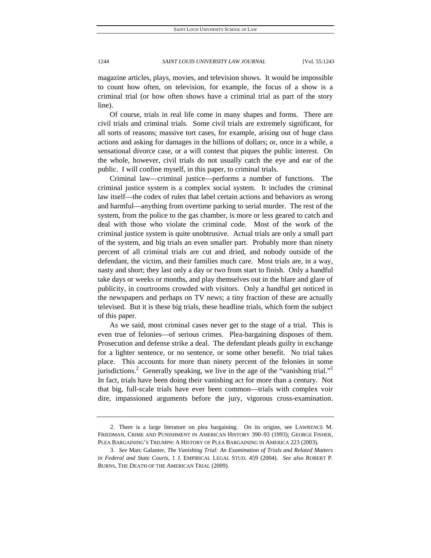magazine articles, plays, movies, and television shows. It would be impossible to count how often, on television, for example, the focus of a show is a criminal trial (or how often shows have a criminal trial as part of the story line).

Of course, trials in real life come in many shapes and forms. There are civil trials and criminal trials. Some civil trials are extremely significant, for all sorts of reasons; massive tort cases, for example, arising out of huge class actions and asking for damages in the billions of dollars; or, once in a while, a sensational divorce case, or a will contest that piques the public interest. On the whole, however, civil trials do not usually catch the eye and ear of the public. I will confine myself, in this paper, to criminal trials.

Criminal law—criminal justice—performs a number of functions. The criminal justice system is a complex social system. It includes the criminal law itself—the codex of rules that label certain actions and behaviors as wrong and harmful—anything from overtime parking to serial murder. The rest of the system, from the police to the gas chamber, is more or less geared to catch and deal with those who violate the criminal code. Most of the work of the criminal justice system is quite unobtrusive. Actual trials are only a small part of the system, and big trials an even smaller part. Probably more than ninety percent of all criminal trials are cut and dried, and nobody outside of the defendant, the victim, and their families much care. Most trials are, in a way, nasty and short; they last only a day or two from start to finish. Only a handful take days or weeks or months, and play themselves out in the blare and glare of publicity, in courtrooms crowded with visitors. Only a handful get noticed in the newspapers and perhaps on TV news; a tiny fraction of these are actually televised. But it is these big trials, these headline trials, which form the subject of this paper.

As we said, most criminal cases never get to the stage of a trial. This is even true of felonies—of serious crimes. Plea-bargaining disposes of them. Prosecution and defense strike a deal. The defendant pleads guilty in exchange for a lighter sentence, or no sentence, or some other benefit. No trial takes place. This accounts for more than ninety percent of the felonies in some jurisdictions.<sup>2</sup> Generally speaking, we live in the age of the "vanishing trial."<sup>3</sup> In fact, trials have been doing their vanishing act for more than a century. Not that big, full-scale trials have ever been common—trials with complex voir dire, impassioned arguments before the jury, vigorous cross-examination.

 <sup>2.</sup> There is a large literature on plea bargaining. On its origins, see LAWRENCE M. FRIEDMAN, CRIME AND PUNISHMENT IN AMERICAN HISTORY 390–93 (1993); GEORGE FISHER, PLEA BARGAINING'S TRIUMPH: A HISTORY OF PLEA BARGAINING IN AMERICA 223 (2003).

<sup>3</sup>*. See* Marc Galanter, *The Vanishing Trial: An Examination of Trials and Related Matters in Federal and State Courts*, 1 J. EMPIRICAL LEGAL STUD. 459 (2004). *See also* ROBERT P. BURNS, THE DEATH OF THE AMERICAN TRIAL (2009).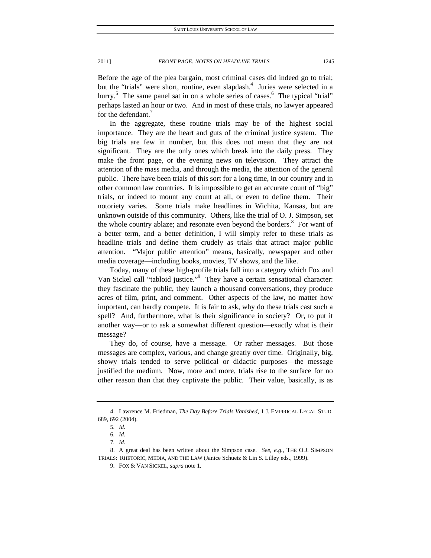Before the age of the plea bargain, most criminal cases did indeed go to trial; but the "trials" were short, routine, even slapdash.<sup>4</sup> Juries were selected in a hurry.<sup>5</sup> The same panel sat in on a whole series of cases.<sup>6</sup> The typical "trial" perhaps lasted an hour or two. And in most of these trials, no lawyer appeared for the defendant.<sup>7</sup>

In the aggregate, these routine trials may be of the highest social importance. They are the heart and guts of the criminal justice system. The big trials are few in number, but this does not mean that they are not significant. They are the only ones which break into the daily press. They make the front page, or the evening news on television. They attract the attention of the mass media, and through the media, the attention of the general public. There have been trials of this sort for a long time, in our country and in other common law countries. It is impossible to get an accurate count of "big" trials, or indeed to mount any count at all, or even to define them. Their notoriety varies. Some trials make headlines in Wichita, Kansas, but are unknown outside of this community. Others, like the trial of O. J. Simpson, set the whole country ablaze; and resonate even beyond the borders.<sup>8</sup> For want of a better term, and a better definition, I will simply refer to these trials as headline trials and define them crudely as trials that attract major public attention. "Major public attention" means, basically, newspaper and other media coverage—including books, movies, TV shows, and the like.

Today, many of these high-profile trials fall into a category which Fox and Van Sickel call "tabloid justice."<sup>9</sup> They have a certain sensational character: they fascinate the public, they launch a thousand conversations, they produce acres of film, print, and comment. Other aspects of the law, no matter how important, can hardly compete. It is fair to ask, why do these trials cast such a spell? And, furthermore, what is their significance in society? Or, to put it another way—or to ask a somewhat different question—exactly what is their message?

They do, of course, have a message. Or rather messages. But those messages are complex, various, and change greatly over time. Originally, big, showy trials tended to serve political or didactic purposes—the message justified the medium. Now, more and more, trials rise to the surface for no other reason than that they captivate the public. Their value, basically, is as

 <sup>4.</sup> Lawrence M. Friedman, *The Day Before Trials Vanished*, 1 J. EMPIRICAL LEGAL STUD. 689, 692 (2004).

<sup>5</sup>*. Id.*

<sup>6</sup>*. Id.*

<sup>7</sup>*. Id.*

 <sup>8.</sup> A great deal has been written about the Simpson case. *See, e.g.*, THE O.J. SIMPSON TRIALS: RHETORIC, MEDIA, AND THE LAW (Janice Schuetz & Lin S. Lilley eds., 1999).

 <sup>9.</sup> FOX & VAN SICKEL, *supra* note 1.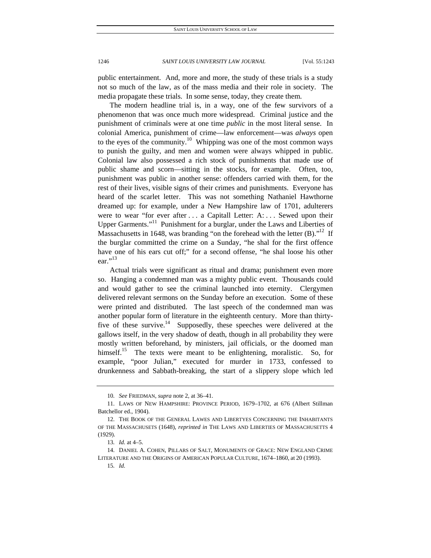public entertainment. And, more and more, the study of these trials is a study not so much of the law, as of the mass media and their role in society. The media propagate these trials. In some sense, today, they create them.

The modern headline trial is, in a way, one of the few survivors of a phenomenon that was once much more widespread. Criminal justice and the punishment of criminals were at one time *public* in the most literal sense. In colonial America, punishment of crime—law enforcement—was *always* open to the eyes of the community.<sup>10</sup> Whipping was one of the most common ways to punish the guilty, and men and women were always whipped in public. Colonial law also possessed a rich stock of punishments that made use of public shame and scorn—sitting in the stocks, for example. Often, too, punishment was public in another sense: offenders carried with them, for the rest of their lives, visible signs of their crimes and punishments. Everyone has heard of the scarlet letter. This was not something Nathaniel Hawthorne dreamed up: for example, under a New Hampshire law of 1701, adulterers were to wear "for ever after . . . a Capitall Letter: A: . . . Sewed upon their Upper Garments."<sup>11</sup> Punishment for a burglar, under the Laws and Liberties of Massachusetts in 1648, was branding "on the forehead with the letter  $(B)$ ."<sup>12</sup> If the burglar committed the crime on a Sunday, "he shal for the first offence have one of his ears cut off;" for a second offense, "he shal loose his other ear."<sup>13</sup>

Actual trials were significant as ritual and drama; punishment even more so. Hanging a condemned man was a mighty public event. Thousands could and would gather to see the criminal launched into eternity. Clergymen delivered relevant sermons on the Sunday before an execution. Some of these were printed and distributed. The last speech of the condemned man was another popular form of literature in the eighteenth century. More than thirtyfive of these survive.<sup>14</sup> Supposedly, these speeches were delivered at the gallows itself, in the very shadow of death, though in all probability they were mostly written beforehand, by ministers, jail officials, or the doomed man himself.<sup>15</sup> The texts were meant to be enlightening, moralistic. So, for example, "poor Julian," executed for murder in 1733, confessed to drunkenness and Sabbath-breaking, the start of a slippery slope which led

<sup>10</sup>*. See* FRIEDMAN, *supra* note 2, at 36–41.

 <sup>11.</sup> LAWS OF NEW HAMPSHIRE: PROVINCE PERIOD, 1679–1702, at 676 (Albert Stillman Batchellor ed., 1904).

 <sup>12.</sup> THE BOOK OF THE GENERAL LAWES AND LIBERTYES CONCERNING THE INHABITANTS OF THE MASSACHUSETS (1648), *reprinted in* THE LAWS AND LIBERTIES OF MASSACHUSETTS 4 (1929).

<sup>13</sup>*. Id.* at 4–5.

 <sup>14.</sup> DANIEL A. COHEN, PILLARS OF SALT, MONUMENTS OF GRACE: NEW ENGLAND CRIME LITERATURE AND THE ORIGINS OF AMERICAN POPULAR CULTURE, 1674–1860, at 20 (1993).

<sup>15</sup>*. Id.*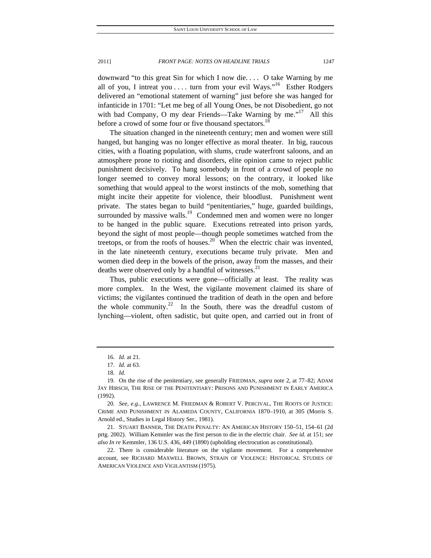downward "to this great Sin for which I now die. . . . O take Warning by me all of you, I intreat you . . . . turn from your evil Ways."<sup>16</sup> Esther Rodgers delivered an "emotional statement of warning" just before she was hanged for infanticide in 1701: "Let me beg of all Young Ones, be not Disobedient, go not with bad Company, O my dear Friends—Take Warning by me."<sup>17</sup> All this before a crowd of some four or five thousand spectators.<sup>18</sup>

The situation changed in the nineteenth century; men and women were still hanged, but hanging was no longer effective as moral theater. In big, raucous cities, with a floating population, with slums, crude waterfront saloons, and an atmosphere prone to rioting and disorders, elite opinion came to reject public punishment decisively. To hang somebody in front of a crowd of people no longer seemed to convey moral lessons; on the contrary, it looked like something that would appeal to the worst instincts of the mob, something that might incite their appetite for violence, their bloodlust. Punishment went private. The states began to build "penitentiaries," huge, guarded buildings, surrounded by massive walls.<sup>19</sup> Condemned men and women were no longer to be hanged in the public square. Executions retreated into prison yards, beyond the sight of most people—though people sometimes watched from the treetops, or from the roofs of houses.<sup>20</sup> When the electric chair was invented, in the late nineteenth century, executions became truly private. Men and women died deep in the bowels of the prison, away from the masses, and their deaths were observed only by a handful of witnesses.<sup>21</sup>

Thus, public executions were gone—officially at least. The reality was more complex. In the West, the vigilante movement claimed its share of victims; the vigilantes continued the tradition of death in the open and before the whole community.<sup>22</sup> In the South, there was the dreadful custom of lynching—violent, often sadistic, but quite open, and carried out in front of

<sup>16</sup>*. Id.* at 21.

<sup>17</sup>*. Id.* at 63.

<sup>18</sup>*. Id.*

 <sup>19.</sup> On the rise of the penitentiary, see generally FRIEDMAN, *supra* note 2, at 77–82; ADAM JAY HIRSCH, THE RISE OF THE PENITENTIARY: PRISONS AND PUNISHMENT IN EARLY AMERICA (1992).

<sup>20</sup>*. See, e.g.*, LAWRENCE M. FRIEDMAN & ROBERT V. PERCIVAL, THE ROOTS OF JUSTICE: CRIME AND PUNISHMENT IN ALAMEDA COUNTY, CALIFORNIA 1870–1910, at 305 (Morris S. Arnold ed., Studies in Legal History Ser., 1981).

 <sup>21.</sup> STUART BANNER, THE DEATH PENALTY: AN AMERICAN HISTORY 150–51, 154–61 (2d prtg. 2002). William Kemmler was the first person to die in the electric chair. *See id.* at 151; *see also In re* Kemmler, 136 U.S. 436, 449 (1890) (upholding electrocution as constitutional).

 <sup>22.</sup> There is considerable literature on the vigilante movement. For a comprehensive account, see RICHARD MAXWELL BROWN, STRAIN OF VIOLENCE: HISTORICAL STUDIES OF AMERICAN VIOLENCE AND VIGILANTISM (1975).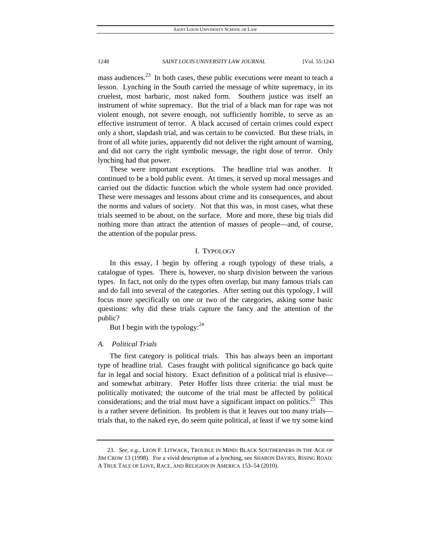mass audiences.<sup>23</sup> In both cases, these public executions were meant to teach a lesson. Lynching in the South carried the message of white supremacy, in its cruelest, most barbaric, most naked form. Southern justice was itself an instrument of white supremacy. But the trial of a black man for rape was not violent enough, not severe enough, not sufficiently horrible, to serve as an effective instrument of terror. A black accused of certain crimes could expect only a short, slapdash trial, and was certain to be convicted. But these trials, in front of all white juries, apparently did not deliver the right amount of warning, and did not carry the right symbolic message, the right dose of terror. Only lynching had that power.

These were important exceptions. The headline trial was another. It continued to be a bold public event. At times, it served up moral messages and carried out the didactic function which the whole system had once provided. These were messages and lessons about crime and its consequences, and about the norms and values of society. Not that this was, in most cases, what these trials seemed to be about, on the surface. More and more, these big trials did nothing more than attract the attention of masses of people—and, of course, the attention of the popular press.

## I. TYPOLOGY

In this essay, I begin by offering a rough typology of these trials, a catalogue of types. There is, however, no sharp division between the various types. In fact, not only do the types often overlap, but many famous trials can and do fall into several of the categories. After setting out this typology, I will focus more specifically on one or two of the categories, asking some basic questions: why did these trials capture the fancy and the attention of the public?

But I begin with the typology: $^{24}$ 

## *A. Political Trials*

The first category is political trials. This has always been an important type of headline trial. Cases fraught with political significance go back quite far in legal and social history. Exact definition of a political trial is elusive and somewhat arbitrary. Peter Hoffer lists three criteria: the trial must be politically motivated; the outcome of the trial must be affected by political considerations; and the trial must have a significant impact on politics.<sup>25</sup> This is a rather severe definition. Its problem is that it leaves out too many trials trials that, to the naked eye, do seem quite political, at least if we try some kind

<sup>23</sup>*. See, e.g.*, LEON F. LITWACK, TROUBLE IN MIND: BLACK SOUTHERNERS IN THE AGE OF JIM CROW 13 (1998). For a vivid description of a lynching, see SHARON DAVIES, RISING ROAD: A TRUE TALE OF LOVE, RACE, AND RELIGION IN AMERICA 153–54 (2010).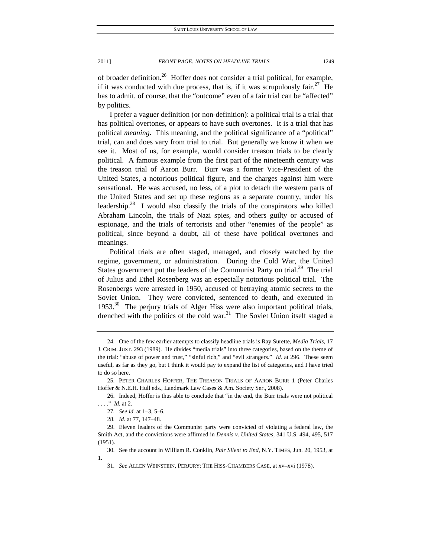of broader definition.<sup>26</sup> Hoffer does not consider a trial political, for example, if it was conducted with due process, that is, if it was scrupulously fair.<sup>27</sup> He has to admit, of course, that the "outcome" even of a fair trial can be "affected" by politics.

I prefer a vaguer definition (or non-definition): a political trial is a trial that has political overtones, or appears to have such overtones. It is a trial that has political *meaning*. This meaning, and the political significance of a "political" trial, can and does vary from trial to trial. But generally we know it when we see it. Most of us, for example, would consider treason trials to be clearly political. A famous example from the first part of the nineteenth century was the treason trial of Aaron Burr. Burr was a former Vice-President of the United States, a notorious political figure, and the charges against him were sensational. He was accused, no less, of a plot to detach the western parts of the United States and set up these regions as a separate country, under his leadership. $28$  I would also classify the trials of the conspirators who killed Abraham Lincoln, the trials of Nazi spies, and others guilty or accused of espionage, and the trials of terrorists and other "enemies of the people" as political, since beyond a doubt, all of these have political overtones and meanings.

Political trials are often staged, managed, and closely watched by the regime, government, or administration. During the Cold War, the United States government put the leaders of the Communist Party on trial.<sup>29</sup> The trial of Julius and Ethel Rosenberg was an especially notorious political trial. The Rosenbergs were arrested in 1950, accused of betraying atomic secrets to the Soviet Union. They were convicted, sentenced to death, and executed in 1953. $30$  The perjury trials of Alger Hiss were also important political trials, drenched with the politics of the cold war.<sup>31</sup> The Soviet Union itself staged a

 <sup>24.</sup> One of the few earlier attempts to classify headline trials is Ray Surette, *Media Trials*, 17 J. CRIM. JUST. 293 (1989). He divides "media trials" into three categories, based on the theme of the trial: "abuse of power and trust," "sinful rich," and "evil strangers." *Id.* at 296. These seem useful, as far as they go, but I think it would pay to expand the list of categories, and I have tried to do so here.

 <sup>25.</sup> PETER CHARLES HOFFER, THE TREASON TRIALS OF AARON BURR 1 (Peter Charles Hoffer & N.E.H. Hull eds., Landmark Law Cases & Am. Society Ser., 2008).

 <sup>26.</sup> Indeed, Hoffer is thus able to conclude that "in the end, the Burr trials were not political . . . ." *Id.* at 2.

<sup>27</sup>*. See id.* at 1–3, 5–6.

<sup>28</sup>*. Id.* at 77, 147–48.

 <sup>29.</sup> Eleven leaders of the Communist party were convicted of violating a federal law, the Smith Act, and the convictions were affirmed in *Dennis v. United States*, 341 U.S. 494, 495, 517 (1951).

 <sup>30.</sup> See the account in William R. Conklin, *Pair Silent to End*, N.Y. TIMES, Jun. 20, 1953, at 1.

<sup>31</sup>*. See* ALLEN WEINSTEIN, PERJURY: THE HISS-CHAMBERS CASE, at xv–xvi (1978).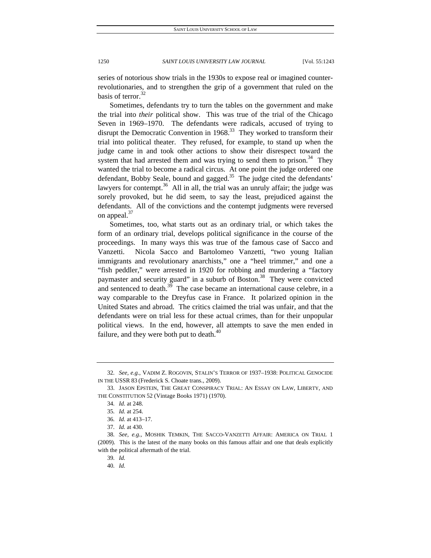series of notorious show trials in the 1930s to expose real or imagined counterrevolutionaries, and to strengthen the grip of a government that ruled on the basis of terror.<sup>32</sup>

Sometimes, defendants try to turn the tables on the government and make the trial into *their* political show. This was true of the trial of the Chicago Seven in 1969–1970. The defendants were radicals, accused of trying to disrupt the Democratic Convention in  $1968<sup>33</sup>$  They worked to transform their trial into political theater. They refused, for example, to stand up when the judge came in and took other actions to show their disrespect toward the system that had arrested them and was trying to send them to prison.<sup>34</sup> They wanted the trial to become a radical circus. At one point the judge ordered one defendant, Bobby Seale, bound and gagged. $35$  The judge cited the defendants' lawyers for contempt.<sup>36</sup> All in all, the trial was an unruly affair; the judge was sorely provoked, but he did seem, to say the least, prejudiced against the defendants. All of the convictions and the contempt judgments were reversed on appeal.<sup>37</sup>

Sometimes, too, what starts out as an ordinary trial, or which takes the form of an ordinary trial, develops political significance in the course of the proceedings. In many ways this was true of the famous case of Sacco and Vanzetti. Nicola Sacco and Bartolomeo Vanzetti, "two young Italian immigrants and revolutionary anarchists," one a "heel trimmer," and one a "fish peddler," were arrested in 1920 for robbing and murdering a "factory paymaster and security guard" in a suburb of Boston.<sup>38</sup> They were convicted and sentenced to death. $39$  The case became an international cause celebre, in a way comparable to the Dreyfus case in France. It polarized opinion in the United States and abroad. The critics claimed the trial was unfair, and that the defendants were on trial less for these actual crimes, than for their unpopular political views. In the end, however, all attempts to save the men ended in failure, and they were both put to death. $40$ 

<sup>32</sup>*. See, e.g.*, VADIM Z. ROGOVIN, STALIN'S TERROR OF 1937–1938: POLITICAL GENOCIDE IN THE USSR 83 (Frederick S. Choate trans., 2009).

 <sup>33.</sup> JASON EPSTEIN, THE GREAT CONSPIRACY TRIAL: AN ESSAY ON LAW, LIBERTY, AND THE CONSTITUTION 52 (Vintage Books 1971) (1970).

<sup>34</sup>*. Id.* at 248.

<sup>35</sup>*. Id.* at 254.

<sup>36</sup>*. Id.* at 413–17.

<sup>37</sup>*. Id.* at 430.

<sup>38</sup>*. See, e.g.*, MOSHIK TEMKIN, THE SACCO-VANZETTI AFFAIR: AMERICA ON TRIAL 1 (2009). This is the latest of the many books on this famous affair and one that deals explicitly with the political aftermath of the trial.

<sup>39</sup>*. Id.*

<sup>40</sup>*. Id.*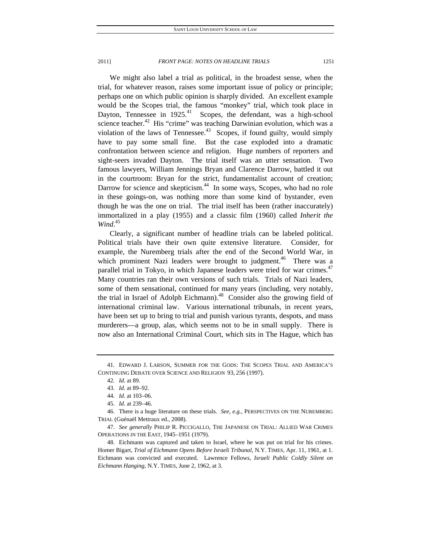We might also label a trial as political, in the broadest sense, when the trial, for whatever reason, raises some important issue of policy or principle; perhaps one on which public opinion is sharply divided. An excellent example would be the Scopes trial, the famous "monkey" trial, which took place in Dayton, Tennessee in  $1925<sup>41</sup>$  Scopes, the defendant, was a high-school science teacher. $42$  His "crime" was teaching Darwinian evolution, which was a violation of the laws of Tennessee.<sup>43</sup> Scopes, if found guilty, would simply have to pay some small fine. But the case exploded into a dramatic confrontation between science and religion. Huge numbers of reporters and sight-seers invaded Dayton. The trial itself was an utter sensation. Two famous lawyers, William Jennings Bryan and Clarence Darrow, battled it out in the courtroom: Bryan for the strict, fundamentalist account of creation; Darrow for science and skepticism.<sup>44</sup> In some ways, Scopes, who had no role in these goings-on, was nothing more than some kind of bystander, even though he was the one on trial. The trial itself has been (rather inaccurately) immortalized in a play (1955) and a classic film (1960) called *Inherit the Wind*. 45

Clearly, a significant number of headline trials can be labeled political. Political trials have their own quite extensive literature. Consider, for example, the Nuremberg trials after the end of the Second World War, in which prominent Nazi leaders were brought to judgment.<sup>46</sup> There was a parallel trial in Tokyo, in which Japanese leaders were tried for war crimes.<sup>47</sup> Many countries ran their own versions of such trials. Trials of Nazi leaders, some of them sensational, continued for many years (including, very notably, the trial in Israel of Adolph Eichmann).<sup>48</sup> Consider also the growing field of international criminal law. Various international tribunals, in recent years, have been set up to bring to trial and punish various tyrants, despots, and mass murderers—a group, alas, which seems not to be in small supply. There is now also an International Criminal Court, which sits in The Hague, which has

 <sup>41.</sup> EDWARD J. LARSON, SUMMER FOR THE GODS: THE SCOPES TRIAL AND AMERICA'S CONTINUING DEBATE OVER SCIENCE AND RELIGION 93, 256 (1997).

<sup>42</sup>*. Id.* at 89.

<sup>43</sup>*. Id.* at 89–92.

<sup>44</sup>*. Id.* at 103–06.

<sup>45</sup>*. Id.* at 239–46.

 <sup>46.</sup> There is a huge literature on these trials. *See, e.g.*, PERSPECTIVES ON THE NUREMBERG TRIAL (Guénaël Mettraux ed., 2008).

<sup>47</sup>*. See generally* PHILIP R. PICCIGALLO, THE JAPANESE ON TRIAL: ALLIED WAR CRIMES OPERATIONS IN THE EAST, 1945–1951 (1979).

 <sup>48.</sup> Eichmann was captured and taken to Israel, where he was put on trial for his crimes. Homer Bigart, *Trial of Eichmann Opens Before Israeli Tribunal*, N.Y. TIMES, Apr. 11, 1961, at 1. Eichmann was convicted and executed. Lawrence Fellows, *Israeli Public Coldly Silent on Eichmann Hanging*, N.Y. TIMES, June 2, 1962, at 3.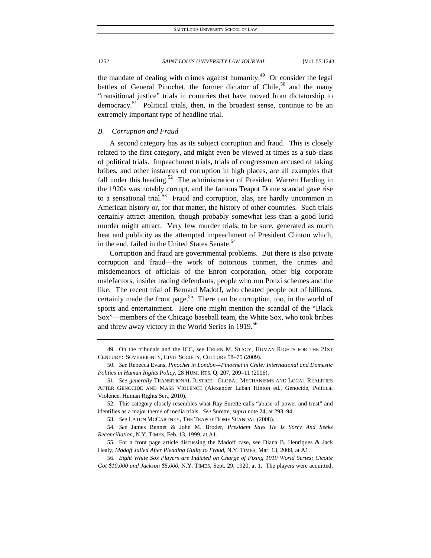the mandate of dealing with crimes against humanity.<sup>49</sup> Or consider the legal battles of General Pinochet, the former dictator of Chile, $50$  and the many "transitional justice" trials in countries that have moved from dictatorship to democracy.<sup>51</sup> Political trials, then, in the broadest sense, continue to be an extremely important type of headline trial.

## *B. Corruption and Fraud*

A second category has as its subject corruption and fraud. This is closely related to the first category, and might even be viewed at times as a sub-class of political trials. Impeachment trials, trials of congressmen accused of taking bribes, and other instances of corruption in high places, are all examples that fall under this heading.<sup>52</sup> The administration of President Warren Harding in the 1920s was notably corrupt, and the famous Teapot Dome scandal gave rise to a sensational trial. $53$  Fraud and corruption, alas, are hardly uncommon in American history or, for that matter, the history of other countries. Such trials certainly attract attention, though probably somewhat less than a good lurid murder might attract. Very few murder trials, to be sure, generated as much heat and publicity as the attempted impeachment of President Clinton which, in the end, failed in the United States Senate.<sup>54</sup>

Corruption and fraud are governmental problems. But there is also private corruption and fraud—the work of notorious conmen, the crimes and misdemeanors of officials of the Enron corporation, other big corporate malefactors, insider trading defendants, people who run Ponzi schemes and the like. The recent trial of Bernard Madoff, who cheated people out of billions, certainly made the front page.<sup>55</sup> There can be corruption, too, in the world of sports and entertainment. Here one might mention the scandal of the "Black Sox"—members of the Chicago baseball team, the White Sox, who took bribes and threw away victory in the World Series in 1919.<sup>56</sup>

 <sup>49.</sup> On the tribunals and the ICC, see HELEN M. STACY, HUMAN RIGHTS FOR THE 21ST CENTURY: SOVEREIGNTY, CIVIL SOCIETY, CULTURE 58–75 (2009).

<sup>50</sup>*. See* Rebecca Evans, *Pinochet in London—Pinochet in Chile: International and Domestic Politics in Human Rights Policy*, 28 HUM. RTS. Q. 207, 209–11 (2006).

<sup>51</sup>*. See generally* TRANSITIONAL JUSTICE: GLOBAL MECHANISMS AND LOCAL REALITIES AFTER GENOCIDE AND MASS VIOLENCE (Alexander Laban Hinton ed., Genocide, Political Violence, Human Rights Ser., 2010).

 <sup>52.</sup> This category closely resembles what Ray Surette calls "abuse of power and trust" and identifies as a major theme of media trials. *See* Surette, *supra* note 24, at 293–94.

<sup>53</sup>*. See* LATON MCCARTNEY, THE TEAPOT DOME SCANDAL (2008).

<sup>54</sup>*. See* James Bennet & John M. Broder, *President Says He Is Sorry And Seeks Reconciliation*, N.Y. TIMES, Feb. 13, 1999, at A1.

 <sup>55.</sup> For a front page article discussing the Madoff case, see Diana B. Henriques & Jack Healy, *Madoff Jailed After Pleading Guilty to Fraud*, N.Y. TIMES, Mar. 13, 2009, at A1.

<sup>56</sup>*. Eight White Sox Players are Indicted on Charge of Fixing 1919 World Series; Cicotte Got \$10,000 and Jackson \$5,000*, N.Y. TIMES, Sept. 29, 1920, at 1. The players were acquitted,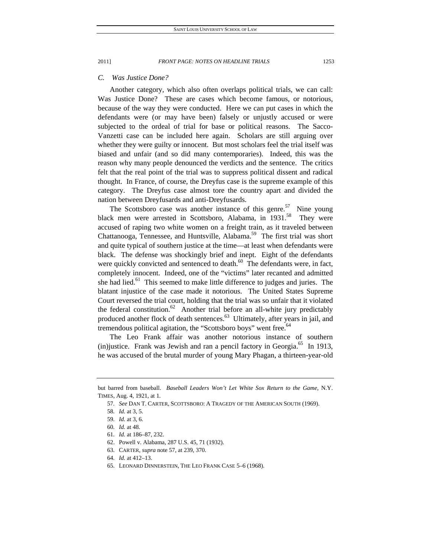## *C. Was Justice Done?*

Another category, which also often overlaps political trials, we can call: Was Justice Done? These are cases which become famous, or notorious, because of the way they were conducted. Here we can put cases in which the defendants were (or may have been) falsely or unjustly accused or were subjected to the ordeal of trial for base or political reasons. The Sacco-Vanzetti case can be included here again. Scholars are still arguing over whether they were guilty or innocent. But most scholars feel the trial itself was biased and unfair (and so did many contemporaries). Indeed, this was the reason why many people denounced the verdicts and the sentence. The critics felt that the real point of the trial was to suppress political dissent and radical thought. In France, of course, the Dreyfus case is the supreme example of this category. The Dreyfus case almost tore the country apart and divided the nation between Dreyfusards and anti-Dreyfusards.

The Scottsboro case was another instance of this genre.<sup>57</sup> Nine young black men were arrested in Scottsboro, Alabama, in 1931.<sup>58</sup> They were accused of raping two white women on a freight train, as it traveled between Chattanooga, Tennessee, and Huntsville, Alabama.<sup>59</sup> The first trial was short and quite typical of southern justice at the time—at least when defendants were black. The defense was shockingly brief and inept. Eight of the defendants were quickly convicted and sentenced to death.<sup>60</sup> The defendants were, in fact, completely innocent. Indeed, one of the "victims" later recanted and admitted she had lied.<sup>61</sup> This seemed to make little difference to judges and juries. The blatant injustice of the case made it notorious. The United States Supreme Court reversed the trial court, holding that the trial was so unfair that it violated the federal constitution.<sup>62</sup> Another trial before an all-white jury predictably produced another flock of death sentences.<sup>63</sup> Ultimately, after years in jail, and tremendous political agitation, the "Scottsboro boys" went free.<sup>64</sup>

The Leo Frank affair was another notorious instance of southern (in) justice. Frank was Jewish and ran a pencil factory in Georgia.<sup>65</sup> In 1913, he was accused of the brutal murder of young Mary Phagan, a thirteen-year-old

but barred from baseball. *Baseball Leaders Won't Let White Sox Return to the Game*, N.Y. TIMES, Aug. 4, 1921, at 1.

<sup>57</sup>*. See* DAN T. CARTER, SCOTTSBORO: A TRAGEDY OF THE AMERICAN SOUTH (1969).

<sup>58</sup>*. Id.* at 3, 5.

<sup>59</sup>*. Id.* at 3, 6.

<sup>60</sup>*. Id.* at 48.

<sup>61</sup>*. Id.* at 186–87, 232.

 <sup>62.</sup> Powell v. Alabama, 287 U.S. 45, 71 (1932).

 <sup>63.</sup> CARTER, *supra* note 57, at 239, 370.

<sup>64</sup>*. Id.* at 412–13.

 <sup>65.</sup> LEONARD DINNERSTEIN, THE LEO FRANK CASE 5–6 (1968).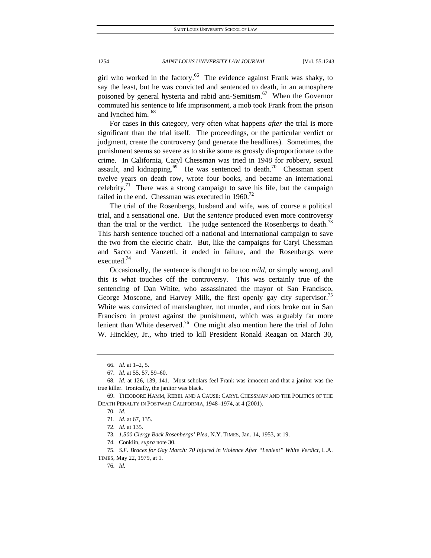girl who worked in the factory.<sup>66</sup> The evidence against Frank was shaky, to say the least, but he was convicted and sentenced to death, in an atmosphere poisoned by general hysteria and rabid anti-Semitism.<sup>67</sup> When the Governor commuted his sentence to life imprisonment, a mob took Frank from the prison and lynched him.<sup>68</sup>

For cases in this category, very often what happens *after* the trial is more significant than the trial itself. The proceedings, or the particular verdict or judgment, create the controversy (and generate the headlines). Sometimes, the punishment seems so severe as to strike some as grossly disproportionate to the crime. In California, Caryl Chessman was tried in 1948 for robbery, sexual assault, and kidnapping.<sup>69</sup> He was sentenced to death.<sup>70</sup> Chessman spent twelve years on death row, wrote four books, and became an international celebrity.<sup>71</sup> There was a strong campaign to save his life, but the campaign failed in the end. Chessman was executed in  $1960$ .<sup>72</sup>

The trial of the Rosenbergs, husband and wife, was of course a political trial, and a sensational one. But the *sentence* produced even more controversy than the trial or the verdict. The judge sentenced the Rosenbergs to death.<sup>73</sup> This harsh sentence touched off a national and international campaign to save the two from the electric chair. But, like the campaigns for Caryl Chessman and Sacco and Vanzetti, it ended in failure, and the Rosenbergs were executed.74

Occasionally, the sentence is thought to be too *mild*, or simply wrong, and this is what touches off the controversy. This was certainly true of the sentencing of Dan White, who assassinated the mayor of San Francisco, George Moscone, and Harvey Milk, the first openly gay city supervisor.<sup>7</sup> White was convicted of manslaughter, not murder, and riots broke out in San Francisco in protest against the punishment, which was arguably far more lenient than White deserved.<sup>76</sup> One might also mention here the trial of John W. Hinckley, Jr., who tried to kill President Ronald Reagan on March 30,

73*. 1,500 Clergy Back Rosenbergs' Plea*, N.Y. TIMES, Jan. 14, 1953, at 19.

75*. S.F. Braces for Gay March: 70 Injured in Violence After "Lenient" White Verdict*, L.A. TIMES, May 22, 1979, at 1.

76*. Id.*

<sup>66</sup>*. Id.* at 1–2, 5.

<sup>67</sup>*. Id.* at 55, 57, 59–60.

<sup>68</sup>*. Id.* at 126, 139, 141. Most scholars feel Frank was innocent and that a janitor was the true killer.Ironically, the janitor was black.

 <sup>69.</sup> THEODORE HAMM, REBEL AND A CAUSE: CARYL CHESSMAN AND THE POLITICS OF THE DEATH PENALTY IN POSTWAR CALIFORNIA, 1948–1974, at 4 (2001).

<sup>70</sup>*. Id.*

<sup>71</sup>*. Id.* at 67, 135.

<sup>72</sup>*. Id.* at 135.

 <sup>74.</sup> Conklin, *supra* note 30.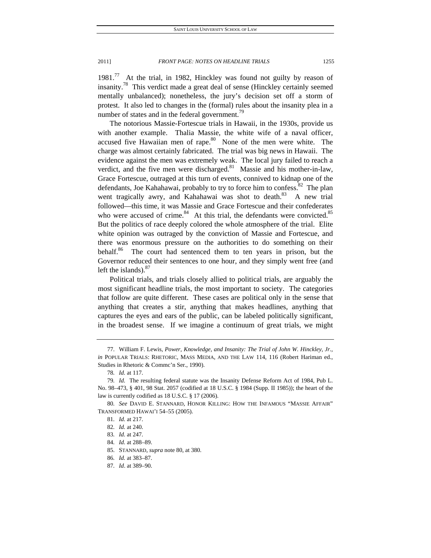1981. $^{77}$  At the trial, in 1982, Hinckley was found not guilty by reason of insanity.<sup>78</sup> This verdict made a great deal of sense (Hinckley certainly seemed mentally unbalanced); nonetheless, the jury's decision set off a storm of protest. It also led to changes in the (formal) rules about the insanity plea in a number of states and in the federal government.<sup>79</sup>

The notorious Massie-Fortescue trials in Hawaii, in the 1930s, provide us with another example. Thalia Massie, the white wife of a naval officer, accused five Hawaiian men of rape. $80$  None of the men were white. The charge was almost certainly fabricated. The trial was big news in Hawaii. The evidence against the men was extremely weak. The local jury failed to reach a verdict, and the five men were discharged. $81$  Massie and his mother-in-law, Grace Fortescue, outraged at this turn of events, connived to kidnap one of the defendants, Joe Kahahawai, probably to try to force him to confess.<sup>82</sup> The plan went tragically awry, and Kahahawai was shot to death.<sup>83</sup> A new trial followed—this time, it was Massie and Grace Fortescue and their confederates who were accused of crime. $84$  At this trial, the defendants were convicted. $85$ But the politics of race deeply colored the whole atmosphere of the trial. Elite white opinion was outraged by the conviction of Massie and Fortescue, and there was enormous pressure on the authorities to do something on their behalf.<sup>86</sup> The court had sentenced them to ten years in prison, but the Governor reduced their sentences to one hour, and they simply went free (and left the islands). $87$ 

Political trials, and trials closely allied to political trials, are arguably the most significant headline trials, the most important to society. The categories that follow are quite different. These cases are political only in the sense that anything that creates a stir, anything that makes headlines, anything that captures the eyes and ears of the public, can be labeled politically significant, in the broadest sense. If we imagine a continuum of great trials, we might

 <sup>77.</sup> William F. Lewis, *Power, Knowledge, and Insanity: The Trial of John W. Hinckley, Jr.*, *in* POPULAR TRIALS: RHETORIC, MASS MEDIA, AND THE LAW 114, 116 (Robert Hariman ed., Studies in Rhetoric & Commc'n Ser., 1990).

<sup>78</sup>*. Id.* at 117.

<sup>79</sup>*. Id.* The resulting federal statute was the Insanity Defense Reform Act of 1984, Pub L. No. 98–473, § 401, 98 Stat. 2057 (codified at 18 U.S.C. § 1984 (Supp. II 1985)); the heart of the law is currently codified as 18 U.S.C. § 17 (2006).

<sup>80</sup>*. See* DAVID E. STANNARD, HONOR KILLING: HOW THE INFAMOUS "MASSIE AFFAIR" TRANSFORMED HAWAI'I 54–55 (2005).

<sup>81</sup>*. Id.* at 217.

<sup>82</sup>*. Id.* at 240.

<sup>83</sup>*. Id.* at 247.

<sup>84</sup>*. Id.* at 288–89.

 <sup>85.</sup> STANNARD, *supra* note 80, at 380.

<sup>86</sup>*. Id.* at 383–87.

<sup>87</sup>*. Id*. at 389–90.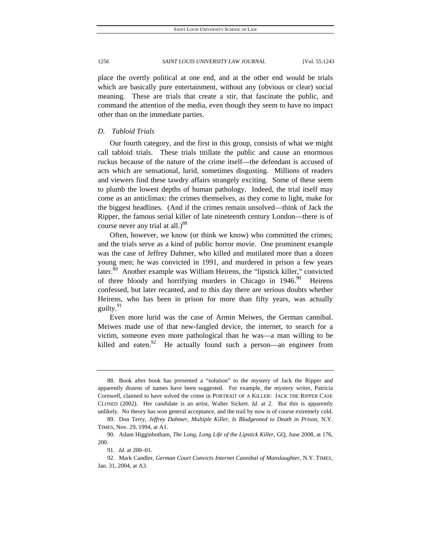place the overtly political at one end, and at the other end would be trials which are basically pure entertainment, without any (obvious or clear) social meaning. These are trials that create a stir, that fascinate the public, and command the attention of the media, even though they seem to have no impact other than on the immediate parties.

## *D. Tabloid Trials*

Our fourth category, and the first in this group, consists of what we might call tabloid trials. These trials titillate the public and cause an enormous ruckus because of the nature of the crime itself—the defendant is accused of acts which are sensational, lurid, sometimes disgusting. Millions of readers and viewers find these tawdry affairs strangely exciting. Some of these seem to plumb the lowest depths of human pathology. Indeed, the trial itself may come as an anticlimax: the crimes themselves, as they come to light, make for the biggest headlines. (And if the crimes remain unsolved—think of Jack the Ripper, the famous serial killer of late nineteenth century London—there is of course never any trial at all.)<sup>88</sup>

Often, however, we know (or think we know) who committed the crimes; and the trials serve as a kind of public horror movie. One prominent example was the case of Jeffrey Dahmer, who killed and mutilated more than a dozen young men; he was convicted in 1991, and murdered in prison a few years later.<sup>89</sup> Another example was William Heirens, the "lipstick killer," convicted of three bloody and horrifying murders in Chicago in  $1946$ .<sup>90</sup> Heirens confessed, but later recanted, and to this day there are serious doubts whether Heirens, who has been in prison for more than fifty years, was actually guilty.<sup>91</sup>

Even more lurid was the case of Armin Meiwes, the German cannibal. Meiwes made use of that new-fangled device, the internet, to search for a victim, someone even more pathological than he was—a man willing to be killed and eaten.<sup>92</sup> He actually found such a person—an engineer from

 <sup>88.</sup> Book after book has presented a "solution" to the mystery of Jack the Ripper and apparently dozens of names have been suggested. For example, the mystery writer, Patricia Cornwell, claimed to have solved the crime in PORTRAIT OF A KILLER: JACK THE RIPPER CASE CLOSED (2002). Her candidate is an artist, Walter Sickert. *Id.* at 2. But this is apparently unlikely. No theory has won general acceptance, and the trail by now is of course extremely cold.

 <sup>89.</sup> Don Terry, *Jeffrey Dahmer, Multiple Killer, Is Bludgeoned to Death in Prison*, N.Y. TIMES, Nov. 29, 1994, at A1.

 <sup>90.</sup> Adam Higginbotham, *The Long, Long Life of the Lipstick Killer*, GQ, June 2008, at 176, 200.

<sup>91</sup>*. Id.* at 200–01.

 <sup>92.</sup> Mark Candler, *German Court Convicts Internet Cannibal of Manslaughter*, N.Y. TIMES, Jan. 31, 2004, at A3.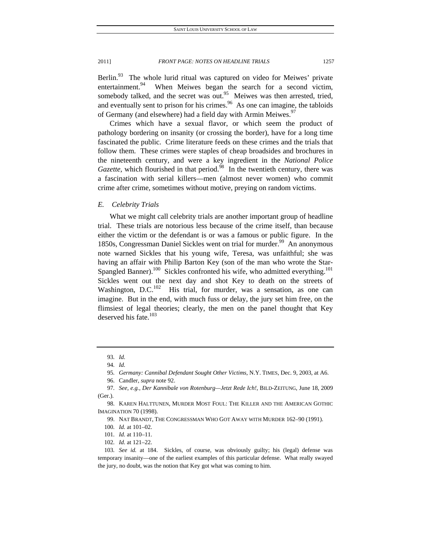Berlin. $93$  The whole lurid ritual was captured on video for Meiwes' private entertainment.<sup>94</sup> When Meiwes began the search for a second victim, somebody talked, and the secret was out.<sup>95</sup> Meiwes was then arrested, tried, and eventually sent to prison for his crimes.<sup>96</sup> As one can imagine, the tabloids of Germany (and elsewhere) had a field day with Armin Meiwes.<sup>97</sup>

Crimes which have a sexual flavor, or which seem the product of pathology bordering on insanity (or crossing the border), have for a long time fascinated the public. Crime literature feeds on these crimes and the trials that follow them. These crimes were staples of cheap broadsides and brochures in the nineteenth century, and were a key ingredient in the *National Police Gazette*, which flourished in that period.<sup>98</sup> In the twentieth century, there was a fascination with serial killers—men (almost never women) who commit crime after crime, sometimes without motive, preying on random victims.

## *E. Celebrity Trials*

What we might call celebrity trials are another important group of headline trial. These trials are notorious less because of the crime itself, than because either the victim or the defendant is or was a famous or public figure. In the 1850s, Congressman Daniel Sickles went on trial for murder.<sup>99</sup> An anonymous note warned Sickles that his young wife, Teresa, was unfaithful; she was having an affair with Philip Barton Key (son of the man who wrote the Star-Spangled Banner).<sup>100</sup> Sickles confronted his wife, who admitted everything.<sup>101</sup> Sickles went out the next day and shot Key to death on the streets of Washington, D.C. $^{102}$  His trial, for murder, was a sensation, as one can imagine. But in the end, with much fuss or delay, the jury set him free, on the flimsiest of legal theories; clearly, the men on the panel thought that Key deserved his fate. $103$ 

<sup>93</sup>*. Id.*

<sup>94</sup>*. Id.*

<sup>95</sup>*. Germany: Cannibal Defendant Sought Other Victims*, N.Y. TIMES, Dec. 9, 2003, at A6.

 <sup>96.</sup> Candler, *supra* note 92.

<sup>97</sup>*. See, e.g.*, *Der Kannibale von Rotenburg—Jetzt Rede Ich!*, BILD-ZEITUNG, June 18, 2009 (Ger.).

 <sup>98.</sup> KAREN HALTTUNEN, MURDER MOST FOUL: THE KILLER AND THE AMERICAN GOTHIC IMAGINATION 70 (1998).

 <sup>99.</sup> NAT BRANDT, THE CONGRESSMAN WHO GOT AWAY WITH MURDER 162–90 (1991).

<sup>100</sup>*. Id.* at 101–02.

<sup>101</sup>*. Id.* at 110–11.

<sup>102</sup>*. Id.* at 121–22.

<sup>103</sup>*. See id.* at 184. Sickles, of course, was obviously guilty; his (legal) defense was temporary insanity—one of the earliest examples of this particular defense. What really swayed the jury, no doubt, was the notion that Key got what was coming to him.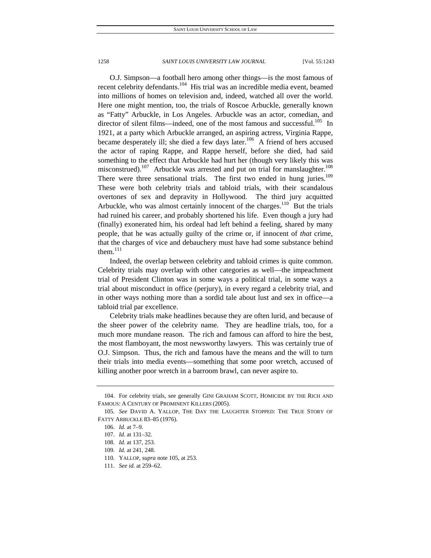O.J. Simpson—a football hero among other things—is the most famous of recent celebrity defendants.<sup>104</sup> His trial was an incredible media event, beamed into millions of homes on television and, indeed, watched all over the world. Here one might mention, too, the trials of Roscoe Arbuckle, generally known as "Fatty" Arbuckle, in Los Angeles. Arbuckle was an actor, comedian, and director of silent films—indeed, one of the most famous and successful.<sup>105</sup> In 1921, at a party which Arbuckle arranged, an aspiring actress, Virginia Rappe, became desperately ill; she died a few days later.<sup>106</sup> A friend of hers accused the actor of raping Rappe, and Rappe herself, before she died, had said something to the effect that Arbuckle had hurt her (though very likely this was misconstrued).<sup>107</sup> Arbuckle was arrested and put on trial for manslaughter.<sup>108</sup> There were three sensational trials. The first two ended in hung juries.<sup>109</sup> These were both celebrity trials and tabloid trials, with their scandalous overtones of sex and depravity in Hollywood. The third jury acquitted Arbuckle, who was almost certainly innocent of the charges.<sup>110</sup> But the trials had ruined his career, and probably shortened his life. Even though a jury had (finally) exonerated him, his ordeal had left behind a feeling, shared by many people, that he was actually guilty of the crime or, if innocent of *that* crime, that the charges of vice and debauchery must have had some substance behind them. $^{111}$ 

Indeed, the overlap between celebrity and tabloid crimes is quite common. Celebrity trials may overlap with other categories as well—the impeachment trial of President Clinton was in some ways a political trial, in some ways a trial about misconduct in office (perjury), in every regard a celebrity trial, and in other ways nothing more than a sordid tale about lust and sex in office—a tabloid trial par excellence.

Celebrity trials make headlines because they are often lurid, and because of the sheer power of the celebrity name. They are headline trials, too, for a much more mundane reason. The rich and famous can afford to hire the best, the most flamboyant, the most newsworthy lawyers. This was certainly true of O.J. Simpson. Thus, the rich and famous have the means and the will to turn their trials into media events—something that some poor wretch, accused of killing another poor wretch in a barroom brawl, can never aspire to.

 <sup>104.</sup> For celebrity trials, see generally GINI GRAHAM SCOTT, HOMICIDE BY THE RICH AND FAMOUS: A CENTURY OF PROMINENT KILLERS (2005).

<sup>105</sup>*. See* DAVID A. YALLOP, THE DAY THE LAUGHTER STOPPED: THE TRUE STORY OF FATTY ARBUCKLE 83–85 (1976).

<sup>106</sup>*. Id.* at 7–9.

<sup>107</sup>*. Id.* at 131–32.

<sup>108</sup>*. Id.* at 137, 253.

<sup>109</sup>*. Id.* at 241, 248.

 <sup>110.</sup> YALLOP, *supra* note 105, at 253.

<sup>111</sup>*. See id.* at 259–62.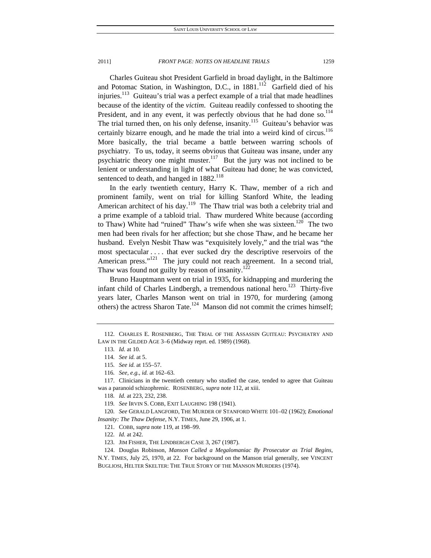Charles Guiteau shot President Garfield in broad daylight, in the Baltimore and Potomac Station, in Washington, D.C., in  $1881$ <sup>112</sup> Garfield died of his injuries.<sup>113</sup> Guiteau's trial was a perfect example of a trial that made headlines because of the identity of the *victim*. Guiteau readily confessed to shooting the President, and in any event, it was perfectly obvious that he had done so. $114$ The trial turned then, on his only defense, insanity.<sup>115</sup> Guiteau's behavior was certainly bizarre enough, and he made the trial into a weird kind of circus.<sup>116</sup> More basically, the trial became a battle between warring schools of psychiatry. To us, today, it seems obvious that Guiteau was insane, under any psychiatric theory one might muster.<sup>117</sup> But the jury was not inclined to be lenient or understanding in light of what Guiteau had done; he was convicted, sentenced to death, and hanged in 1882.<sup>118</sup>

In the early twentieth century, Harry K. Thaw, member of a rich and prominent family, went on trial for killing Stanford White, the leading American architect of his day.<sup>119</sup> The Thaw trial was both a celebrity trial and a prime example of a tabloid trial. Thaw murdered White because (according to Thaw) White had "ruined" Thaw's wife when she was sixteen.<sup>120</sup> The two men had been rivals for her affection; but she chose Thaw, and he became her husband. Evelyn Nesbit Thaw was "exquisitely lovely," and the trial was "the most spectacular . . . . that ever sucked dry the descriptive reservoirs of the American press."<sup>121</sup> The jury could not reach agreement. In a second trial, Thaw was found not guilty by reason of insanity.<sup>122</sup>

Bruno Hauptmann went on trial in 1935, for kidnapping and murdering the infant child of Charles Lindbergh, a tremendous national hero.<sup>123</sup> Thirty-five years later, Charles Manson went on trial in 1970, for murdering (among others) the actress Sharon Tate.<sup>124</sup> Manson did not commit the crimes himself;

 <sup>112.</sup> CHARLES E. ROSENBERG, THE TRIAL OF THE ASSASSIN GUITEAU: PSYCHIATRY AND LAW IN THE GILDED AGE 3–6 (Midway reprt. ed. 1989) (1968).

<sup>113</sup>*. Id.* at 10.

<sup>114</sup>*. See id.* at 5.

<sup>115</sup>*. See id.* at 155–57.

<sup>116</sup>*. See, e.g.*, *id.* at 162–63.

 <sup>117.</sup> Clinicians in the twentieth century who studied the case, tended to agree that Guiteau was a paranoid schizophrenic. ROSENBERG, *supra* note 112, at xiii.

<sup>118</sup>*. Id.* at 223, 232, 238.

<sup>119</sup>*. See* IRVIN S. COBB, EXIT LAUGHING 198 (1941).

<sup>120</sup>*. See* GERALD LANGFORD, THE MURDER OF STANFORD WHITE 101–02 (1962); *Emotional Insanity: The Thaw Defense*, N.Y. TIMES, June 29, 1906, at 1.

 <sup>121.</sup> COBB, *supra* note 119, at 198–99.

<sup>122</sup>*. Id.* at 242.

 <sup>123.</sup> JIM FISHER, THE LINDBERGH CASE 3, 267 (1987).

 <sup>124.</sup> Douglas Robinson, *Manson Called a Megalomaniac By Prosecutor as Trial Begins*, N.Y. TIMES, July 25, 1970, at 22. For background on the Manson trial generally, see VINCENT BUGLIOSI, HELTER SKELTER: THE TRUE STORY OF THE MANSON MURDERS (1974).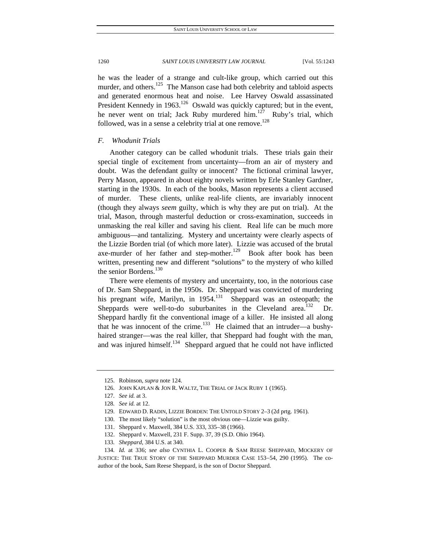he was the leader of a strange and cult-like group, which carried out this murder, and others.<sup>125</sup> The Manson case had both celebrity and tabloid aspects and generated enormous heat and noise. Lee Harvey Oswald assassinated President Kennedy in  $1963$ <sup>126</sup> Oswald was quickly captured; but in the event, he never went on trial; Jack Ruby murdered him.<sup>127</sup> Ruby's trial, which followed, was in a sense a celebrity trial at one remove.<sup>128</sup>

## *F. Whodunit Trials*

Another category can be called whodunit trials. These trials gain their special tingle of excitement from uncertainty—from an air of mystery and doubt. Was the defendant guilty or innocent? The fictional criminal lawyer, Perry Mason, appeared in about eighty novels written by Erle Stanley Gardner, starting in the 1930s. In each of the books, Mason represents a client accused of murder. These clients, unlike real-life clients, are invariably innocent (though they always *seem* guilty, which is why they are put on trial). At the trial, Mason, through masterful deduction or cross-examination, succeeds in unmasking the real killer and saving his client. Real life can be much more ambiguous—and tantalizing. Mystery and uncertainty were clearly aspects of the Lizzie Borden trial (of which more later). Lizzie was accused of the brutal axe-murder of her father and step-mother.<sup>129</sup> Book after book has been written, presenting new and different "solutions" to the mystery of who killed the senior Bordens.<sup>130</sup>

There were elements of mystery and uncertainty, too, in the notorious case of Dr. Sam Sheppard, in the 1950s. Dr. Sheppard was convicted of murdering his pregnant wife, Marilyn, in  $1954$ <sup>131</sup> Sheppard was an osteopath; the Sheppards were well-to-do suburbanites in the Cleveland area.<sup>132</sup> Dr. Sheppard hardly fit the conventional image of a killer. He insisted all along that he was innocent of the crime.<sup>133</sup> He claimed that an intruder—a bushyhaired stranger—was the real killer, that Sheppard had fought with the man, and was injured himself.<sup>134</sup> Sheppard argued that he could not have inflicted

 <sup>125.</sup> Robinson, *supra* note 124.

 <sup>126.</sup> JOHN KAPLAN & JON R. WALTZ, THE TRIAL OF JACK RUBY 1 (1965).

<sup>127</sup>*. See id.* at 3.

<sup>128</sup>*. See id.* at 12.

 <sup>129.</sup> EDWARD D. RADIN, LIZZIE BORDEN: THE UNTOLD STORY 2–3 (2d prtg. 1961).

 <sup>130.</sup> The most likely "solution" is the most obvious one—Lizzie was guilty.

 <sup>131.</sup> Sheppard v. Maxwell, 384 U.S. 333, 335–38 (1966).

 <sup>132.</sup> Sheppard v. Maxwell, 231 F. Supp. 37, 39 (S.D. Ohio 1964).

<sup>133</sup>*. Sheppard*, 384 U.S. at 340.

<sup>134</sup>*. Id.* at 336; *see also* CYNTHIA L. COOPER & SAM REESE SHEPPARD, MOCKERY OF JUSTICE: THE TRUE STORY OF THE SHEPPARD MURDER CASE 153-54, 290 (1995). The coauthor of the book, Sam Reese Sheppard, is the son of Doctor Sheppard.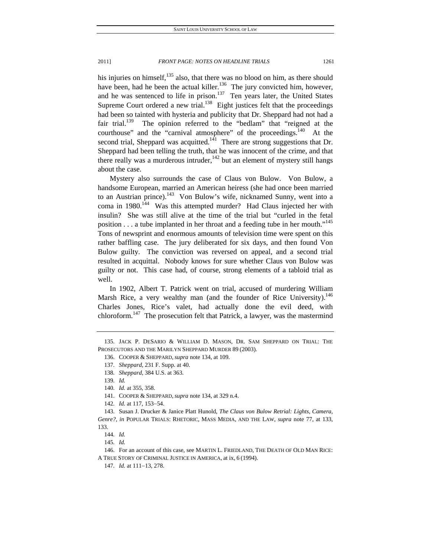his injuries on himself, $135$  also, that there was no blood on him, as there should have been, had he been the actual killer.<sup>136</sup> The jury convicted him, however, and he was sentenced to life in prison.<sup>137</sup> Ten years later, the United States Supreme Court ordered a new trial.<sup>138</sup> Eight justices felt that the proceedings had been so tainted with hysteria and publicity that Dr. Sheppard had not had a fair trial.<sup>139</sup> The opinion referred to the "bedlam" that "reigned at the courthouse" and the "carnival atmosphere" of the proceedings. $^{140}$  At the second trial, Sheppard was acquitted.<sup>141</sup> There are strong suggestions that Dr. Sheppard had been telling the truth, that he was innocent of the crime, and that there really was a murderous intruder, $142$  but an element of mystery still hangs about the case.

Mystery also surrounds the case of Claus von Bulow. Von Bulow, a handsome European, married an American heiress (she had once been married to an Austrian prince).<sup>143</sup> Von Bulow's wife, nicknamed Sunny, went into a coma in 1980.<sup>144</sup> Was this attempted murder? Had Claus injected her with insulin? She was still alive at the time of the trial but "curled in the fetal position  $\dots$  a tube implanted in her throat and a feeding tube in her mouth."<sup>145</sup> Tons of newsprint and enormous amounts of television time were spent on this rather baffling case. The jury deliberated for six days, and then found Von Bulow guilty. The conviction was reversed on appeal, and a second trial resulted in acquittal. Nobody knows for sure whether Claus von Bulow was guilty or not. This case had, of course, strong elements of a tabloid trial as well.

In 1902, Albert T. Patrick went on trial, accused of murdering William Marsh Rice, a very wealthy man (and the founder of Rice University).<sup>146</sup> Charles Jones, Rice's valet, had actually done the evil deed, with chloroform.<sup>147</sup> The prosecution felt that Patrick, a lawyer, was the mastermind

 146. For an account of this case, see MARTIN L. FRIEDLAND, THE DEATH OF OLD MAN RICE: A TRUE STORY OF CRIMINAL JUSTICE IN AMERICA, at ix, 6 (1994).

 <sup>135.</sup> JACK P. DESARIO & WILLIAM D. MASON, DR. SAM SHEPPARD ON TRIAL: THE PROSECUTORS AND THE MARILYN SHEPPARD MURDER 89 (2003).

 <sup>136.</sup> COOPER & SHEPPARD, *supra* note 134, at 109.

<sup>137</sup>*. Sheppard*, 231 F. Supp. at 40.

<sup>138</sup>*. Sheppard*, 384 U.S. at 363.

<sup>139</sup>*. Id.*

<sup>140</sup>*. Id.* at 355, 358.

 <sup>141.</sup> COOPER & SHEPPARD, *supra* note 134, at 329 n.4.

<sup>142.</sup> *Id.* at 117, 153-54.

 <sup>143.</sup> Susan J. Drucker & Janice Platt Hunold, *The Claus von Bulow Retrial: Lights, Camera, Genre?*, *in* POPULAR TRIALS: RHETORIC, MASS MEDIA, AND THE LAW, *supra* note 77, at 133, 133.

<sup>144</sup>*. Id.*

<sup>145</sup>*. Id.*

<sup>147.</sup> *Id.* at 111-13, 278.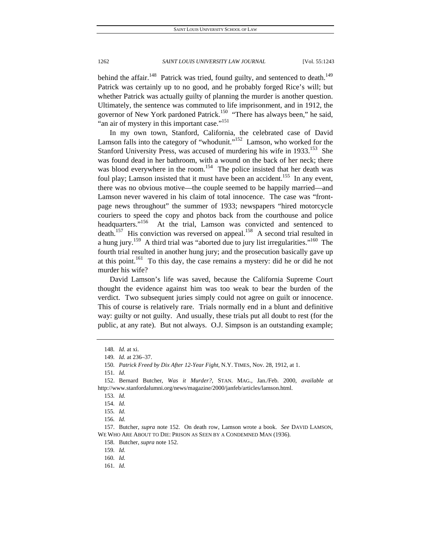behind the affair.<sup>148</sup> Patrick was tried, found guilty, and sentenced to death.<sup>149</sup> Patrick was certainly up to no good, and he probably forged Rice's will; but whether Patrick was actually guilty of planning the murder is another question. Ultimately, the sentence was commuted to life imprisonment, and in 1912, the governor of New York pardoned Patrick.<sup>150</sup> "There has always been," he said, "an air of mystery in this important case."<sup>151</sup>

In my own town, Stanford, California, the celebrated case of David Lamson falls into the category of "whodunit."<sup>152</sup> Lamson, who worked for the Stanford University Press, was accused of murdering his wife in 1933.<sup>153</sup> She was found dead in her bathroom, with a wound on the back of her neck; there was blood everywhere in the room.<sup>154</sup> The police insisted that her death was foul play; Lamson insisted that it must have been an accident.<sup>155</sup> In any event, there was no obvious motive—the couple seemed to be happily married—and Lamson never wavered in his claim of total innocence. The case was "frontpage news throughout" the summer of 1933; newspapers "hired motorcycle couriers to speed the copy and photos back from the courthouse and police headquarters."<sup>156</sup> At the trial, Lamson was convicted and sentenced to death.<sup>157</sup> His conviction was reversed on appeal.<sup>158</sup> A second trial resulted in a hung jury.<sup>159</sup> A third trial was "aborted due to jury list irregularities."<sup>160</sup> The fourth trial resulted in another hung jury; and the prosecution basically gave up at this point.<sup>161</sup> To this day, the case remains a mystery: did he or did he not murder his wife?

David Lamson's life was saved, because the California Supreme Court thought the evidence against him was too weak to bear the burden of the verdict. Two subsequent juries simply could not agree on guilt or innocence. This of course is relatively rare. Trials normally end in a blunt and definitive way: guilty or not guilty. And usually, these trials put all doubt to rest (for the public, at any rate). But not always. O.J. Simpson is an outstanding example;

<sup>148</sup>*. Id.* at xi.

<sup>149</sup>*. Id.* at 236–37.

<sup>150</sup>*. Patrick Freed by Dix After 12-Year Fight*, N.Y. TIMES, Nov. 28, 1912, at 1.

<sup>151</sup>*. Id.*

 <sup>152.</sup> Bernard Butcher, *Was it Murder?*, STAN. MAG., Jan./Feb. 2000, *available at*  http://www.stanfordalumni.org/news/magazine/2000/janfeb/articles/lamson.html.

<sup>153</sup>*. Id.*

<sup>154</sup>*. Id.*

<sup>155</sup>*. Id.*

<sup>156</sup>*. Id.*

 <sup>157.</sup> Butcher, *supra* note 152. On death row, Lamson wrote a book. *See* DAVID LAMSON, WE WHO ARE ABOUT TO DIE: PRISON AS SEEN BY A CONDEMNED MAN (1936).

 <sup>158.</sup> Butcher, *supra* note 152.

<sup>159</sup>*. Id.*

<sup>160</sup>*. Id.*

<sup>161</sup>*. Id.*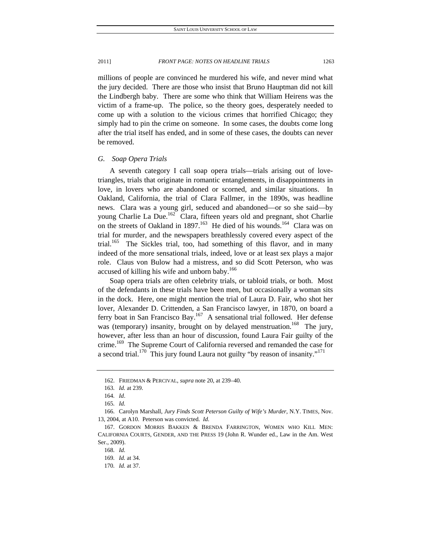millions of people are convinced he murdered his wife, and never mind what the jury decided. There are those who insist that Bruno Hauptman did not kill the Lindbergh baby. There are some who think that William Heirens was the victim of a frame-up. The police, so the theory goes, desperately needed to come up with a solution to the vicious crimes that horrified Chicago; they simply had to pin the crime on someone. In some cases, the doubts come long after the trial itself has ended, and in some of these cases, the doubts can never be removed.

## *G. Soap Opera Trials*

A seventh category I call soap opera trials—trials arising out of lovetriangles, trials that originate in romantic entanglements, in disappointments in love, in lovers who are abandoned or scorned, and similar situations. In Oakland, California, the trial of Clara Fallmer, in the 1890s, was headline news. Clara was a young girl, seduced and abandoned—or so she said—by young Charlie La Due.<sup>162</sup> Clara, fifteen years old and pregnant, shot Charlie on the streets of Oakland in 1897.<sup>163</sup> He died of his wounds.<sup>164</sup> Clara was on trial for murder, and the newspapers breathlessly covered every aspect of the trial.<sup>165</sup> The Sickles trial, too, had something of this flavor, and in many indeed of the more sensational trials, indeed, love or at least sex plays a major role. Claus von Bulow had a mistress, and so did Scott Peterson, who was accused of killing his wife and unborn baby.<sup>166</sup>

Soap opera trials are often celebrity trials, or tabloid trials, or both. Most of the defendants in these trials have been men, but occasionally a woman sits in the dock. Here, one might mention the trial of Laura D. Fair, who shot her lover, Alexander D. Crittenden, a San Francisco lawyer, in 1870, on board a ferry boat in San Francisco Bay.<sup>167</sup> A sensational trial followed. Her defense was (temporary) insanity, brought on by delayed menstruation.<sup>168</sup> The jury, however, after less than an hour of discussion, found Laura Fair guilty of the crime.<sup>169</sup> The Supreme Court of California reversed and remanded the case for a second trial.<sup>170</sup> This jury found Laura not guilty "by reason of insanity."<sup>171</sup>

 <sup>162.</sup> FRIEDMAN & PERCIVAL, *supra* note 20, at 239–40.

<sup>163</sup>*. Id.* at 239.

<sup>164</sup>*. Id*.

<sup>165</sup>*. Id.*

 <sup>166.</sup> Carolyn Marshall, *Jury Finds Scott Peterson Guilty of Wife's Murder*, N.Y. TIMES, Nov. 13, 2004, at A10. Peterson was convicted. *Id.*

 <sup>167.</sup> GORDON MORRIS BAKKEN & BRENDA FARRINGTON, WOMEN WHO KILL MEN: CALIFORNIA COURTS, GENDER, AND THE PRESS 19 (John R. Wunder ed., Law in the Am. West Ser., 2009).

<sup>168</sup>*. Id.*

<sup>169</sup>*. Id.* at 34.

<sup>170</sup>*. Id.* at 37.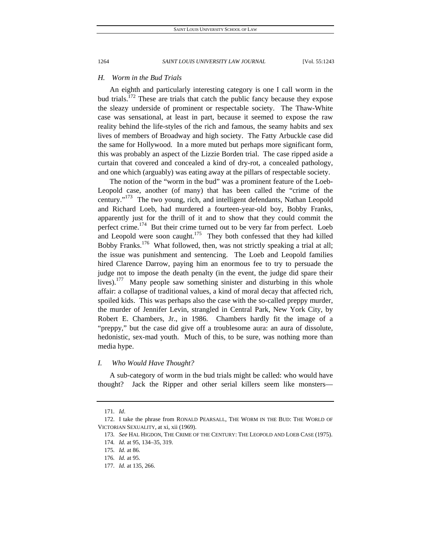## *H. Worm in the Bud Trials*

An eighth and particularly interesting category is one I call worm in the bud trials.<sup>172</sup> These are trials that catch the public fancy because they expose the sleazy underside of prominent or respectable society. The Thaw-White case was sensational, at least in part, because it seemed to expose the raw reality behind the life-styles of the rich and famous, the seamy habits and sex lives of members of Broadway and high society. The Fatty Arbuckle case did the same for Hollywood. In a more muted but perhaps more significant form, this was probably an aspect of the Lizzie Borden trial. The case ripped aside a curtain that covered and concealed a kind of dry-rot, a concealed pathology, and one which (arguably) was eating away at the pillars of respectable society.

The notion of the "worm in the bud" was a prominent feature of the Loeb-Leopold case, another (of many) that has been called the "crime of the century."<sup>173</sup> The two young, rich, and intelligent defendants, Nathan Leopold and Richard Loeb, had murdered a fourteen-year-old boy, Bobby Franks, apparently just for the thrill of it and to show that they could commit the perfect crime.<sup>174</sup> But their crime turned out to be very far from perfect. Loeb and Leopold were soon caught.<sup>175</sup> They both confessed that they had killed Bobby Franks.<sup>176</sup> What followed, then, was not strictly speaking a trial at all; the issue was punishment and sentencing. The Loeb and Leopold families hired Clarence Darrow, paying him an enormous fee to try to persuade the judge not to impose the death penalty (in the event, the judge did spare their lives).<sup>177</sup> Many people saw something sinister and disturbing in this whole affair: a collapse of traditional values, a kind of moral decay that affected rich, spoiled kids. This was perhaps also the case with the so-called preppy murder, the murder of Jennifer Levin, strangled in Central Park, New York City, by Robert E. Chambers, Jr., in 1986. Chambers hardly fit the image of a "preppy," but the case did give off a troublesome aura: an aura of dissolute, hedonistic, sex-mad youth. Much of this, to be sure, was nothing more than media hype.

## *I. Who Would Have Thought?*

A sub-category of worm in the bud trials might be called: who would have thought? Jack the Ripper and other serial killers seem like monsters—

<sup>171</sup>*. Id*.

 <sup>172.</sup> I take the phrase from RONALD PEARSALL, THE WORM IN THE BUD: THE WORLD OF VICTORIAN SEXUALITY, at xi, xii (1969).

<sup>173</sup>*. See* HAL HIGDON, THE CRIME OF THE CENTURY: THE LEOPOLD AND LOEB CASE (1975). 174*. Id.* at 95, 134–35, 319.

<sup>175</sup>*. Id.* at 86.

<sup>176</sup>*. Id.* at 95.

<sup>177</sup>*. Id.* at 135, 266.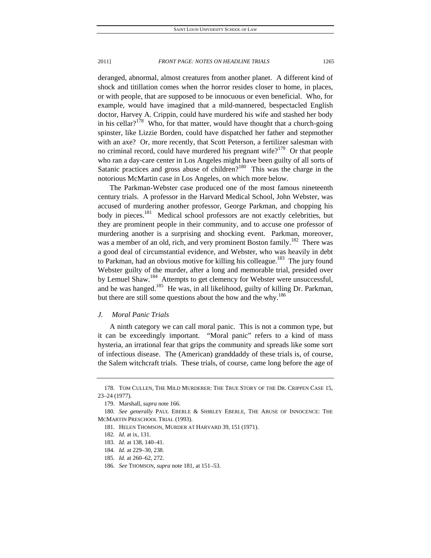deranged, abnormal, almost creatures from another planet. A different kind of shock and titillation comes when the horror resides closer to home, in places, or with people, that are supposed to be innocuous or even beneficial. Who, for example, would have imagined that a mild-mannered, bespectacled English doctor, Harvey A. Crippin, could have murdered his wife and stashed her body in his cellar? $178$  Who, for that matter, would have thought that a church-going spinster, like Lizzie Borden, could have dispatched her father and stepmother with an axe? Or, more recently, that Scott Peterson, a fertilizer salesman with no criminal record, could have murdered his pregnant wife?<sup>179</sup> Or that people who ran a day-care center in Los Angeles might have been guilty of all sorts of Satanic practices and gross abuse of children?<sup>180</sup> This was the charge in the notorious McMartin case in Los Angeles, on which more below.

The Parkman-Webster case produced one of the most famous nineteenth century trials. A professor in the Harvard Medical School, John Webster, was accused of murdering another professor, George Parkman, and chopping his body in pieces.<sup>181</sup> Medical school professors are not exactly celebrities, but they are prominent people in their community, and to accuse one professor of murdering another is a surprising and shocking event. Parkman, moreover, was a member of an old, rich, and very prominent Boston family.<sup>182</sup> There was a good deal of circumstantial evidence, and Webster, who was heavily in debt to Parkman, had an obvious motive for killing his colleague.<sup>183</sup> The jury found Webster guilty of the murder, after a long and memorable trial, presided over by Lemuel Shaw.<sup>184</sup> Attempts to get clemency for Webster were unsuccessful, and he was hanged.<sup>185</sup> He was, in all likelihood, guilty of killing Dr. Parkman, but there are still some questions about the how and the why.<sup>186</sup>

## *J. Moral Panic Trials*

A ninth category we can call moral panic. This is not a common type, but it can be exceedingly important. "Moral panic" refers to a kind of mass hysteria, an irrational fear that grips the community and spreads like some sort of infectious disease. The (American) granddaddy of these trials is, of course, the Salem witchcraft trials. These trials, of course, came long before the age of

 <sup>178.</sup> TOM CULLEN, THE MILD MURDERER: THE TRUE STORY OF THE DR. CRIPPEN CASE 15, 23–24 (1977).

 <sup>179.</sup> Marshall, *supra* note 166.

<sup>180</sup>*. See generally* PAUL EBERLE & SHIRLEY EBERLE, THE ABUSE OF INNOCENCE: THE MCMARTIN PRESCHOOL TRIAL (1993).

 <sup>181.</sup> HELEN THOMSON, MURDER AT HARVARD 39, 151 (1971).

<sup>182</sup>*. Id.* at ix, 131.

<sup>183</sup>*. Id.* at 138, 140–41.

<sup>184</sup>*. Id.* at 229–30, 238.

<sup>185</sup>*. Id.* at 260–62, 272.

<sup>186</sup>*. See* THOMSON, *supra* note 181, at 151–53.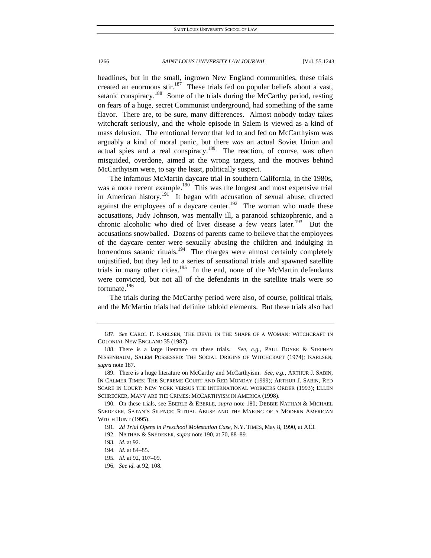headlines, but in the small, ingrown New England communities, these trials created an enormous stir.<sup>187</sup> These trials fed on popular beliefs about a vast, satanic conspiracy.<sup>188</sup> Some of the trials during the McCarthy period, resting on fears of a huge, secret Communist underground, had something of the same flavor. There are, to be sure, many differences. Almost nobody today takes witchcraft seriously, and the whole episode in Salem is viewed as a kind of mass delusion. The emotional fervor that led to and fed on McCarthyism was arguably a kind of moral panic, but there *was* an actual Soviet Union and actual spies and a real conspiracy.<sup>189</sup> The reaction, of course, was often misguided, overdone, aimed at the wrong targets, and the motives behind McCarthyism were, to say the least, politically suspect.

The infamous McMartin daycare trial in southern California, in the 1980s, was a more recent example.<sup>190</sup> This was the longest and most expensive trial in American history.<sup>191</sup> It began with accusation of sexual abuse, directed against the employees of a daycare center.<sup>192</sup> The woman who made these accusations, Judy Johnson, was mentally ill, a paranoid schizophrenic, and a chronic alcoholic who died of liver disease a few years later.<sup>193</sup> But the accusations snowballed. Dozens of parents came to believe that the employees of the daycare center were sexually abusing the children and indulging in horrendous satanic rituals.<sup>194</sup> The charges were almost certainly completely unjustified, but they led to a series of sensational trials and spawned satellite trials in many other cities.<sup>195</sup> In the end, none of the McMartin defendants were convicted, but not all of the defendants in the satellite trials were so fortunate.<sup>196</sup>

The trials during the McCarthy period were also, of course, political trials, and the McMartin trials had definite tabloid elements. But these trials also had

<sup>187</sup>*. See* CAROL F. KARLSEN, THE DEVIL IN THE SHAPE OF A WOMAN: WITCHCRAFT IN COLONIAL NEW ENGLAND 35 (1987).

 <sup>188.</sup> There is a large literature on these trials*. See, e.g.*, PAUL BOYER & STEPHEN NISSENBAUM, SALEM POSSESSED: THE SOCIAL ORIGINS OF WITCHCRAFT (1974); KARLSEN, *supra* note 187.

 <sup>189.</sup> There is a huge literature on McCarthy and McCarthyism. *See, e.g.*, ARTHUR J. SABIN, IN CALMER TIMES: THE SUPREME COURT AND RED MONDAY (1999); ARTHUR J. SABIN, RED SCARE IN COURT: NEW YORK VERSUS THE INTERNATIONAL WORKERS ORDER (1993); ELLEN SCHRECKER, MANY ARE THE CRIMES: MCCARTHYISM IN AMERICA (1998).

 <sup>190.</sup> On these trials, see EBERLE & EBERLE, *supra* note 180; DEBBIE NATHAN & MICHAEL SNEDEKER, SATAN'S SILENCE: RITUAL ABUSE AND THE MAKING OF A MODERN AMERICAN WITCH HUNT (1995).

<sup>191</sup>*. 2d Trial Opens in Preschool Molestation Case*, N.Y. TIMES, May 8, 1990, at A13.

 <sup>192.</sup> NATHAN & SNEDEKER, *supra* note 190, at 70, 88–89.

<sup>193</sup>*. Id.* at 92.

<sup>194</sup>*. Id.* at 84–85.

<sup>195</sup>*. Id.* at 92, 107–09.

<sup>196</sup>*. See id.* at 92, 108.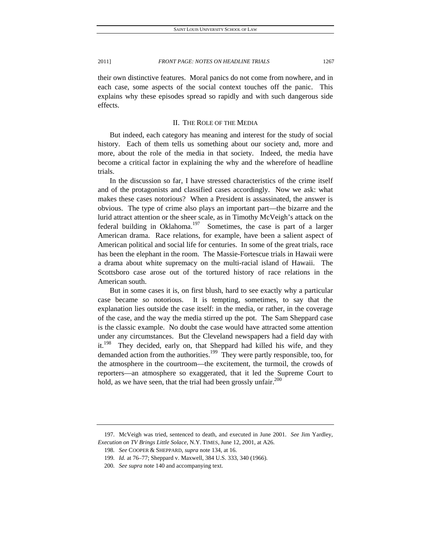their own distinctive features. Moral panics do not come from nowhere, and in each case, some aspects of the social context touches off the panic. This explains why these episodes spread so rapidly and with such dangerous side effects.

#### II. THE ROLE OF THE MEDIA

But indeed, each category has meaning and interest for the study of social history. Each of them tells us something about our society and, more and more, about the role of the media in that society. Indeed, the media have become a critical factor in explaining the why and the wherefore of headline trials.

In the discussion so far, I have stressed characteristics of the crime itself and of the protagonists and classified cases accordingly. Now we ask: what makes these cases notorious? When a President is assassinated, the answer is obvious. The type of crime also plays an important part—the bizarre and the lurid attract attention or the sheer scale, as in Timothy McVeigh's attack on the federal building in Oklahoma.<sup>197</sup> Sometimes, the case is part of a larger American drama. Race relations, for example, have been a salient aspect of American political and social life for centuries. In some of the great trials, race has been the elephant in the room. The Massie-Fortescue trials in Hawaii were a drama about white supremacy on the multi-racial island of Hawaii. The Scottsboro case arose out of the tortured history of race relations in the American south.

But in some cases it is, on first blush, hard to see exactly why a particular case became *so* notorious. It is tempting, sometimes, to say that the explanation lies outside the case itself: in the media, or rather, in the coverage of the case, and the way the media stirred up the pot. The Sam Sheppard case is the classic example. No doubt the case would have attracted some attention under any circumstances. But the Cleveland newspapers had a field day with it.<sup>198</sup> They decided, early on, that Sheppard had killed his wife, and they demanded action from the authorities.<sup>199</sup> They were partly responsible, too, for the atmosphere in the courtroom—the excitement, the turmoil, the crowds of reporters—an atmosphere so exaggerated, that it led the Supreme Court to hold, as we have seen, that the trial had been grossly unfair.<sup>200</sup>

 <sup>197.</sup> McVeigh was tried, sentenced to death, and executed in June 2001. *See* Jim Yardley, *Execution on TV Brings Little Solace*, N.Y. TIMES, June 12, 2001, at A26.

<sup>198</sup>*. See* COOPER & SHEPPARD, *supra* note 134, at 16.

<sup>199</sup>*. Id.* at 76–77; Sheppard v. Maxwell, 384 U.S. 333, 340 (1966).

<sup>200</sup>*. See supra* note 140 and accompanying text.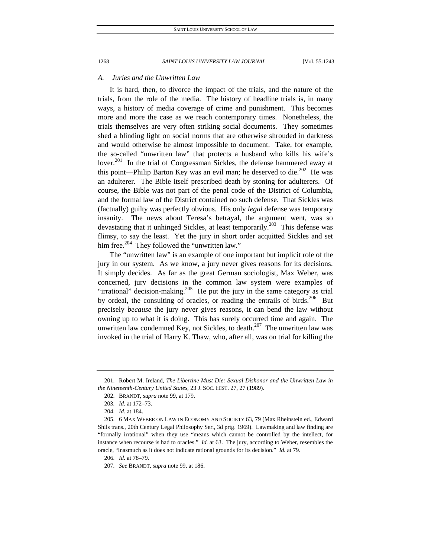## *A. Juries and the Unwritten Law*

It is hard, then, to divorce the impact of the trials, and the nature of the trials, from the role of the media. The history of headline trials is, in many ways, a history of media coverage of crime and punishment. This becomes more and more the case as we reach contemporary times. Nonetheless, the trials themselves are very often striking social documents. They sometimes shed a blinding light on social norms that are otherwise shrouded in darkness and would otherwise be almost impossible to document. Take, for example, the so-called "unwritten law" that protects a husband who kills his wife's lover.<sup>201</sup> In the trial of Congressman Sickles, the defense hammered away at this point—Philip Barton Key was an evil man; he deserved to die.<sup>202</sup> He was an adulterer. The Bible itself prescribed death by stoning for adulterers. Of course, the Bible was not part of the penal code of the District of Columbia, and the formal law of the District contained no such defense. That Sickles was (factually) guilty was perfectly obvious. His only *legal* defense was temporary insanity. The news about Teresa's betrayal, the argument went, was so devastating that it unhinged Sickles, at least temporarily.<sup>203</sup> This defense was flimsy, to say the least. Yet the jury in short order acquitted Sickles and set him free.<sup>204</sup> They followed the "unwritten law."

The "unwritten law" is an example of one important but implicit role of the jury in our system. As we know, a jury never gives reasons for its decisions. It simply decides. As far as the great German sociologist, Max Weber, was concerned, jury decisions in the common law system were examples of "irrational" decision-making.<sup>205</sup> He put the jury in the same category as trial by ordeal, the consulting of oracles, or reading the entrails of birds.<sup>206</sup> But precisely *because* the jury never gives reasons, it can bend the law without owning up to what it is doing. This has surely occurred time and again. The unwritten law condemned Key, not Sickles, to death.<sup>207</sup> The unwritten law was invoked in the trial of Harry K. Thaw, who, after all, was on trial for killing the

 <sup>201.</sup> Robert M. Ireland, *The Libertine Must Die: Sexual Dishonor and the Unwritten Law in the Nineteenth-Century United States*, 23 J. SOC. HIST. 27, 27 (1989).

 <sup>202.</sup> BRANDT, *supra* note 99, at 179.

<sup>203</sup>*. Id.* at 172–73.

<sup>204</sup>*. Id.* at 184.

 <sup>205. 6</sup> MAX WEBER ON LAW IN ECONOMY AND SOCIETY 63, 79 (Max Rheinstein ed., Edward Shils trans., 20th Century Legal Philosophy Ser., 3d prtg. 1969). Lawmaking and law finding are "formally irrational" when they use "means which cannot be controlled by the intellect, for instance when recourse is had to oracles." *Id.* at 63. The jury, according to Weber, resembles the oracle, "inasmuch as it does not indicate rational grounds for its decision." *Id.* at 79.

<sup>206</sup>*. Id.* at 78–79.

<sup>207</sup>*. See* BRANDT, *supra* note 99, at 186.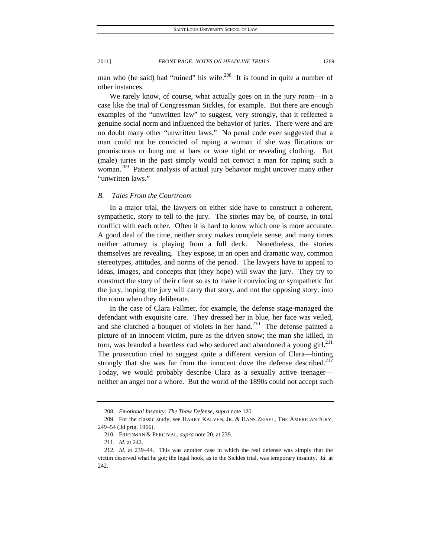man who (he said) had "ruined" his wife.<sup>208</sup> It is found in quite a number of other instances.

We rarely know, of course, what actually goes on in the jury room—in a case like the trial of Congressman Sickles, for example. But there are enough examples of the "unwritten law" to suggest, very strongly, that it reflected a genuine social norm and influenced the behavior of juries. There were and are no doubt many other "unwritten laws." No penal code ever suggested that a man could not be convicted of raping a woman if she was flirtatious or promiscuous or hung out at bars or wore tight or revealing clothing. But (male) juries in the past simply would not convict a man for raping such a woman.<sup>209</sup> Patient analysis of actual jury behavior might uncover many other "unwritten laws."

## *B. Tales From the Courtroom*

In a major trial, the lawyers on either side have to construct a coherent, sympathetic, story to tell to the jury. The stories may be, of course, in total conflict with each other. Often it is hard to know which one is more accurate. A good deal of the time, neither story makes complete sense, and many times neither attorney is playing from a full deck. Nonetheless, the stories themselves are revealing. They expose, in an open and dramatic way, common stereotypes, attitudes, and norms of the period. The lawyers have to appeal to ideas, images, and concepts that (they hope) will sway the jury. They try to construct the story of their client so as to make it convincing or sympathetic for the jury, hoping the jury will carry that story, and not the opposing story, into the room when they deliberate.

In the case of Clara Fallmer, for example, the defense stage-managed the defendant with exquisite care. They dressed her in blue, her face was veiled, and she clutched a bouquet of violets in her hand.<sup>210</sup> The defense painted a picture of an innocent victim, pure as the driven snow; the man she killed, in turn, was branded a heartless cad who seduced and abandoned a young girl. $^{211}$ The prosecution tried to suggest quite a different version of Clara—hinting strongly that she was far from the innocent dove the defense described.<sup>212</sup> Today, we would probably describe Clara as a sexually active teenager neither an angel nor a whore. But the world of the 1890s could not accept such

<sup>208</sup>*. Emotional Insanity: The Thaw Defense*, *supra* note 120.

 <sup>209.</sup> For the classic study, see HARRY KALVEN, JR. & HANS ZEISEL, THE AMERICAN JURY, 249–54 (3d prtg. 1966).

 <sup>210.</sup> FRIEDMAN & PERCIVAL, *supra* note 20, at 239.

<sup>211</sup>*. Id.* at 242.

<sup>212</sup>*. Id.* at 239–44. This was another case in which the real defense was simply that the victim deserved what he got; the legal hook, as in the Sickles trial, was temporary insanity. *Id.* at 242.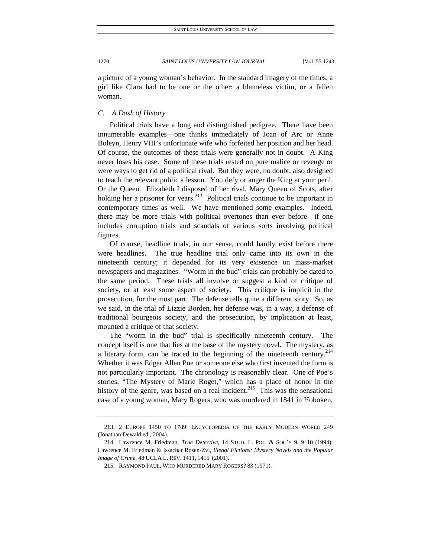a picture of a young woman's behavior. In the standard imagery of the times, a girl like Clara had to be one or the other: a blameless victim, or a fallen woman.

## *C. A Dash of History*

Political trials have a long and distinguished pedigree. There have been innumerable examples—one thinks immediately of Joan of Arc or Anne Boleyn, Henry VIII's unfortunate wife who forfeited her position and her head. Of course, the outcomes of these trials were generally not in doubt. A King never loses his case. Some of these trials rested on pure malice or revenge or were ways to get rid of a political rival. But they were, no doubt, also designed to teach the relevant public a lesson. You defy or anger the King at your peril. Or the Queen. Elizabeth I disposed of her rival, Mary Queen of Scots, after holding her a prisoner for years.<sup>213</sup> Political trials continue to be important in contemporary times as well. We have mentioned some examples. Indeed, there may be more trials with political overtones than ever before—if one includes corruption trials and scandals of various sorts involving political figures.

Of course, headline trials, in our sense, could hardly exist before there were headlines. The true headline trial only came into its own in the nineteenth century; it depended for its very existence on mass-market newspapers and magazines. "Worm in the bud" trials can probably be dated to the same period. These trials all involve or suggest a kind of critique of society, or at least some aspect of society. This critique is implicit in the prosecution, for the most part. The defense tells quite a different story. So, as we said, in the trial of Lizzie Borden, her defense was, in a way, a defense of traditional bourgeois society, and the prosecution, by implication at least, mounted a critique of that society.

The "worm in the bud" trial is specifically nineteenth century. The concept itself is one that lies at the base of the mystery novel. The mystery, as a literary form, can be traced to the beginning of the nineteenth century.<sup>214</sup> Whether it was Edgar Allan Poe or someone else who first invented the form is not particularly important. The chronology is reasonably clear. One of Poe's stories, "The Mystery of Marie Roget," which has a place of honor in the history of the genre, was based on a real incident.<sup>215</sup> This was the sensational case of a young woman, Mary Rogers, who was murdered in 1841 in Hoboken,

 <sup>213. 2</sup> EUROPE 1450 TO 1789: ENCYCLOPEDIA OF THE EARLY MODERN WORLD 249 (Jonathan Dewald ed., 2004).

 <sup>214.</sup> Lawrence M. Friedman, *True Detective*, 14 STUD. L. POL. & SOC'Y 9, 9–10 (1994); Lawrence M. Friedman & Issachar Rosen-Zvi, *Illegal Fictions: Mystery Novels and the Popular Image of Crime*, 48 UCLA L. REV. 1411, 1415 (2001).

 <sup>215.</sup> RAYMOND PAUL, WHO MURDERED MARY ROGERS? 83 (1971).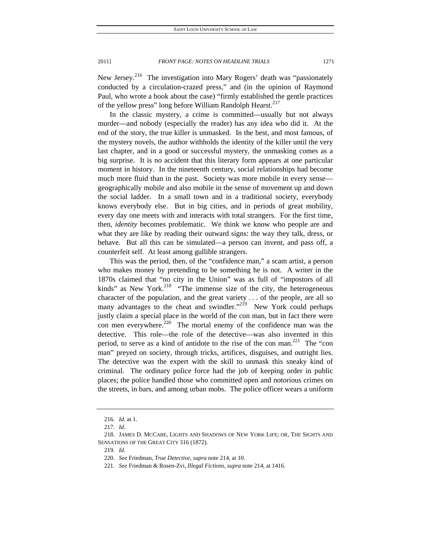New Jersey.<sup>216</sup> The investigation into Mary Rogers' death was "passionately conducted by a circulation-crazed press," and (in the opinion of Raymond Paul, who wrote a book about the case) "firmly established the gentle practices

of the yellow press" long before William Randolph Hearst.<sup>217</sup> In the classic mystery, a crime is committed—usually but not always murder—and nobody (especially the reader) has any idea who did it. At the end of the story, the true killer is unmasked. In the best, and most famous, of the mystery novels, the author withholds the identity of the killer until the very last chapter, and in a good or successful mystery, the unmasking comes as a big surprise. It is no accident that this literary form appears at one particular moment in history. In the nineteenth century, social relationships had become much more fluid than in the past. Society was more mobile in every sense geographically mobile and also mobile in the sense of movement up and down the social ladder. In a small town and in a traditional society, everybody knows everybody else. But in big cities, and in periods of great mobility, every day one meets with and interacts with total strangers. For the first time, then, *identity* becomes problematic. We think we know who people are and what they are like by reading their outward signs: the way they talk, dress, or behave. But all this can be simulated—a person can invent, and pass off, a counterfeit self. At least among gullible strangers.

This was the period, then, of the "confidence man," a scam artist, a person who makes money by pretending to be something he is not. A writer in the 1870s claimed that "no city in the Union" was as full of "impostors of all kinds" as New York. $^{218}$  "The immense size of the city, the heterogeneous character of the population, and the great variety . . . of the people, are all so many advantages to the cheat and swindler."<sup>219</sup> New York could perhaps justly claim a special place in the world of the con man, but in fact there were con men everywhere.<sup>220</sup> The mortal enemy of the confidence man was the detective. This role—the role of the detective—was also invented in this period, to serve as a kind of antidote to the rise of the con man.<sup>221</sup> The "con man" preyed on society, through tricks, artifices, disguises, and outright lies. The detective was the expert with the skill to unmask this sneaky kind of criminal. The ordinary police force had the job of keeping order in public places; the police handled those who committed open and notorious crimes on the streets, in bars, and among urban mobs. The police officer wears a uniform

2011] *FRONT PAGE: NOTES ON HEADLINE TRIALS* 1271

<sup>216</sup>*. Id.* at 1.

<sup>217</sup>*. Id.*

 <sup>218.</sup> JAMES D. MCCABE, LIGHTS AND SHADOWS OF NEW YORK LIFE; OR, THE SIGHTS AND SENSATIONS OF THE GREAT CITY 316 (1872).

<sup>219</sup>*. Id.*

<sup>220</sup>*. See* Friedman, *True Detective, supra* note 214, at 10.

<sup>221</sup>*. See* Friedman & Rosen-Zvi, *Illegal Fictions*, *supra* note 214, at 1416.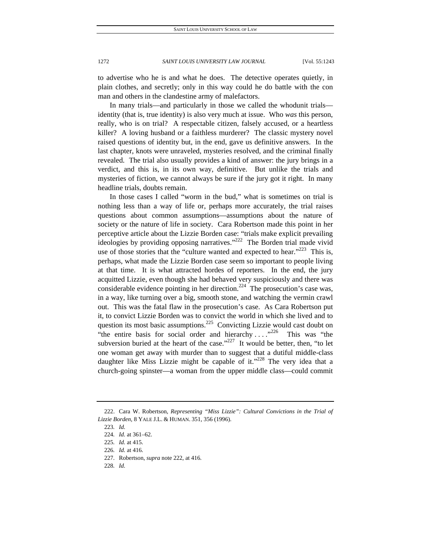to advertise who he is and what he does. The detective operates quietly, in plain clothes, and secretly; only in this way could he do battle with the con man and others in the clandestine army of malefactors.

In many trials—and particularly in those we called the whodunit trials identity (that is, true identity) is also very much at issue. Who *was* this person, really, who is on trial? A respectable citizen, falsely accused, or a heartless killer? A loving husband or a faithless murderer? The classic mystery novel raised questions of identity but, in the end, gave us definitive answers. In the last chapter, knots were unraveled, mysteries resolved, and the criminal finally revealed. The trial also usually provides a kind of answer: the jury brings in a verdict, and this is, in its own way, definitive. But unlike the trials and mysteries of fiction, we cannot always be sure if the jury got it right. In many headline trials, doubts remain.

In those cases I called "worm in the bud," what is sometimes on trial is nothing less than a way of life or, perhaps more accurately, the trial raises questions about common assumptions—assumptions about the nature of society or the nature of life in society. Cara Robertson made this point in her perceptive article about the Lizzie Borden case: "trials make explicit prevailing ideologies by providing opposing narratives."<sup>222</sup> The Borden trial made vivid use of those stories that the "culture wanted and expected to hear."<sup>223</sup> This is, perhaps, what made the Lizzie Borden case seem so important to people living at that time. It is what attracted hordes of reporters. In the end, the jury acquitted Lizzie, even though she had behaved very suspiciously and there was considerable evidence pointing in her direction.<sup>224</sup> The prosecution's case was, in a way, like turning over a big, smooth stone, and watching the vermin crawl out. This was the fatal flaw in the prosecution's case. As Cara Robertson put it, to convict Lizzie Borden was to convict the world in which she lived and to question its most basic assumptions. $225$  Convicting Lizzie would cast doubt on "the entire basis for social order and hierarchy ...."<sup>226</sup> This was "the subversion buried at the heart of the case."<sup>227</sup> It would be better, then, "to let one woman get away with murder than to suggest that a dutiful middle-class daughter like Miss Lizzie might be capable of it."<sup>228</sup> The very idea that a church-going spinster—a woman from the upper middle class—could commit

228*. Id.*

 <sup>222.</sup> Cara W. Robertson, *Representing "Miss Lizzie": Cultural Convictions in the Trial of Lizzie Borden*, 8 YALE J.L. & HUMAN. 351, 356 (1996).

<sup>223</sup>*. Id.*

<sup>224</sup>*. Id.* at 361–62.

<sup>225</sup>*. Id.* at 415.

<sup>226</sup>*. Id.* at 416.

 <sup>227.</sup> Robertson, *supra* note 222, at 416.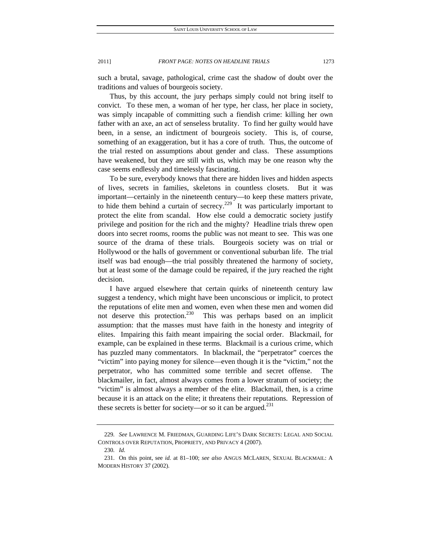such a brutal, savage, pathological, crime cast the shadow of doubt over the traditions and values of bourgeois society.

Thus, by this account, the jury perhaps simply could not bring itself to convict. To these men, a woman of her type, her class, her place in society, was simply incapable of committing such a fiendish crime: killing her own father with an axe, an act of senseless brutality. To find her guilty would have been, in a sense, an indictment of bourgeois society. This is, of course, something of an exaggeration, but it has a core of truth. Thus, the outcome of the trial rested on assumptions about gender and class. These assumptions have weakened, but they are still with us, which may be one reason why the case seems endlessly and timelessly fascinating.

To be sure, everybody knows that there are hidden lives and hidden aspects of lives, secrets in families, skeletons in countless closets. But it was important—certainly in the nineteenth century—to keep these matters private, to hide them behind a curtain of secrecy.<sup>229</sup> It was particularly important to protect the elite from scandal. How else could a democratic society justify privilege and position for the rich and the mighty? Headline trials threw open doors into secret rooms, rooms the public was not meant to see. This was one source of the drama of these trials. Bourgeois society was on trial or Hollywood or the halls of government or conventional suburban life. The trial itself was bad enough—the trial possibly threatened the harmony of society, but at least some of the damage could be repaired, if the jury reached the right decision.

I have argued elsewhere that certain quirks of nineteenth century law suggest a tendency, which might have been unconscious or implicit, to protect the reputations of elite men and women, even when these men and women did not deserve this protection.<sup>230</sup> This was perhaps based on an implicit assumption: that the masses must have faith in the honesty and integrity of elites. Impairing this faith meant impairing the social order. Blackmail, for example, can be explained in these terms. Blackmail is a curious crime, which has puzzled many commentators. In blackmail, the "perpetrator" coerces the "victim" into paying money for silence—even though it is the "victim," not the perpetrator, who has committed some terrible and secret offense. The blackmailer, in fact, almost always comes from a lower stratum of society; the "victim" is almost always a member of the elite. Blackmail, then, is a crime because it is an attack on the elite; it threatens their reputations. Repression of these secrets is better for society—or so it can be argued.<sup>231</sup>

<sup>229</sup>*. See* LAWRENCE M. FRIEDMAN, GUARDING LIFE'S DARK SECRETS: LEGAL AND SOCIAL CONTROLS OVER REPUTATION, PROPRIETY, AND PRIVACY 4 (2007).

<sup>230</sup>*. Id.*

 <sup>231.</sup> On this point, see *id.* at 81–100; *see also* ANGUS MCLAREN, SEXUAL BLACKMAIL: A MODERN HISTORY 37 (2002).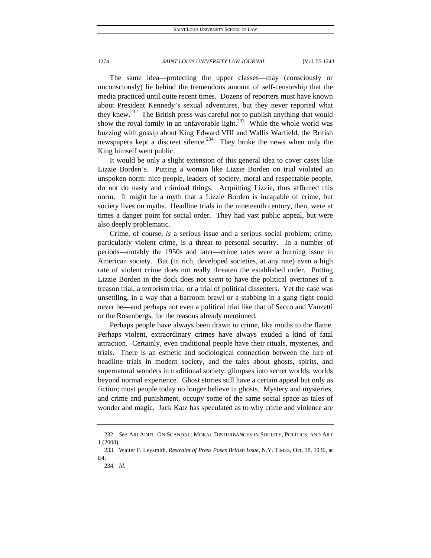The same idea—protecting the upper classes—may (consciously or unconsciously) lie behind the tremendous amount of self-censorship that the media practiced until quite recent times. Dozens of reporters must have known about President Kennedy's sexual adventures, but they never reported what they knew.<sup>232</sup> The British press was careful not to publish anything that would show the royal family in an unfavorable light.<sup>233</sup> While the whole world was buzzing with gossip about King Edward VIII and Wallis Warfield, the British newspapers kept a discreet silence. $234$  They broke the news when only the King himself went public.

It would be only a slight extension of this general idea to cover cases like Lizzie Borden's. Putting a woman like Lizzie Borden on trial violated an unspoken norm: nice people, leaders of society, moral and respectable people, do not do nasty and criminal things. Acquitting Lizzie, thus affirmed this norm. It might be a myth that a Lizzie Borden is incapable of crime, but society lives on myths. Headline trials in the nineteenth century, then, were at times a danger point for social order. They had vast public appeal, but were also deeply problematic.

Crime, of course, *is* a serious issue and a serious social problem; crime, particularly violent crime, is a threat to personal security. In a number of periods—notably the 1950s and later—crime rates were a burning issue in American society. But (in rich, developed societies, at any rate) even a high rate of violent crime does not really threaten the established order. Putting Lizzie Borden in the dock does not *seem* to have the political overtones of a treason trial, a terrorism trial, or a trial of political dissenters. Yet the case was unsettling, in a way that a barroom brawl or a stabbing in a gang fight could never be—and perhaps not even a political trial like that of Sacco and Vanzetti or the Rosenbergs, for the reasons already mentioned.

Perhaps people have always been drawn to crime, like moths to the flame. Perhaps violent, extraordinary crimes have always exuded a kind of fatal attraction. Certainly, even traditional people have their rituals, mysteries, and trials. There is an esthetic and sociological connection between the lure of headline trials in modern society, and the tales about ghosts, spirits, and supernatural wonders in traditional society: glimpses into secret worlds, worlds beyond normal experience. Ghost stories still have a certain appeal but only as fiction; most people today no longer believe in ghosts. Mystery and mysteries, and crime and punishment, occupy some of the same social space as tales of wonder and magic. Jack Katz has speculated as to why crime and violence are

<sup>232</sup>*. See* ARI ADUT, ON SCANDAL: MORAL DISTURBANCES IN SOCIETY, POLITICS, AND ART 1 (2008).

 <sup>233.</sup> Walter F. Leysmith, *Restraint of Press Poses British Issue*, N.Y. TIMES, Oct. 18, 1936, at  $FA$ 

<sup>234</sup>*. Id.*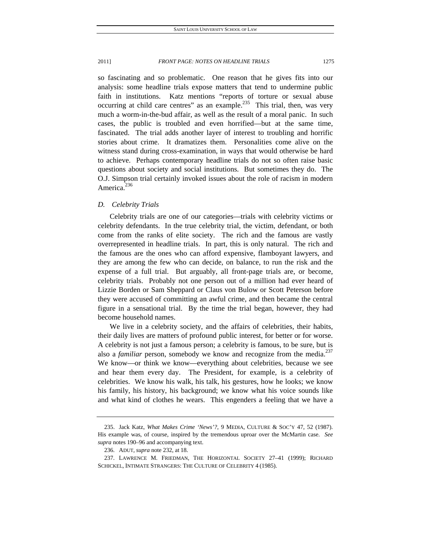so fascinating and so problematic. One reason that he gives fits into our analysis: some headline trials expose matters that tend to undermine public faith in institutions. Katz mentions "reports of torture or sexual abuse occurring at child care centres" as an example.<sup>235</sup> This trial, then, was very much a worm-in-the-bud affair, as well as the result of a moral panic. In such cases, the public is troubled and even horrified—but at the same time, fascinated. The trial adds another layer of interest to troubling and horrific stories about crime. It dramatizes them. Personalities come alive on the witness stand during cross-examination, in ways that would otherwise be hard to achieve. Perhaps contemporary headline trials do not so often raise basic questions about society and social institutions. But sometimes they do. The O.J. Simpson trial certainly invoked issues about the role of racism in modern America.<sup>236</sup>

## *D. Celebrity Trials*

Celebrity trials are one of our categories—trials with celebrity victims or celebrity defendants. In the true celebrity trial, the victim, defendant, or both come from the ranks of elite society. The rich and the famous are vastly overrepresented in headline trials. In part, this is only natural. The rich and the famous are the ones who can afford expensive, flamboyant lawyers, and they are among the few who can decide, on balance, to run the risk and the expense of a full trial. But arguably, all front-page trials are, or become, celebrity trials. Probably not one person out of a million had ever heard of Lizzie Borden or Sam Sheppard or Claus von Bulow or Scott Peterson before they were accused of committing an awful crime, and then became the central figure in a sensational trial. By the time the trial began, however, they had become household names.

We live in a celebrity society, and the affairs of celebrities, their habits, their daily lives are matters of profound public interest, for better or for worse. A celebrity is not just a famous person; a celebrity is famous, to be sure, but is also a *familiar* person, somebody we know and recognize from the media.<sup>237</sup> We know—or think we know—everything about celebrities, because we see and hear them every day. The President, for example, is a celebrity of celebrities. We know his walk, his talk, his gestures, how he looks; we know his family, his history, his background; we know what his voice sounds like and what kind of clothes he wears. This engenders a feeling that we have a

 <sup>235.</sup> Jack Katz, *What Makes Crime 'News'?*, 9 MEDIA, CULTURE & SOC'Y 47, 52 (1987). His example was, of course, inspired by the tremendous uproar over the McMartin case. *See supra* notes 190–96 and accompanying text.

 <sup>236.</sup> ADUT, *supra* note 232, at 18.

 <sup>237.</sup> LAWRENCE M. FRIEDMAN, THE HORIZONTAL SOCIETY 27–41 (1999); RICHARD SCHICKEL, INTIMATE STRANGERS: THE CULTURE OF CELEBRITY 4 (1985).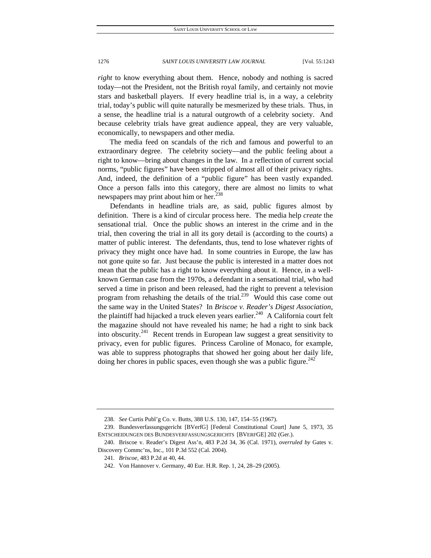*right* to know everything about them. Hence, nobody and nothing is sacred today—not the President, not the British royal family, and certainly not movie stars and basketball players. If every headline trial is, in a way, a celebrity trial, today's public will quite naturally be mesmerized by these trials. Thus, in a sense, the headline trial is a natural outgrowth of a celebrity society. And because celebrity trials have great audience appeal, they are very valuable, economically, to newspapers and other media.

The media feed on scandals of the rich and famous and powerful to an extraordinary degree. The celebrity society—and the public feeling about a right to know—bring about changes in the law. In a reflection of current social norms, "public figures" have been stripped of almost all of their privacy rights. And, indeed, the definition of a "public figure" has been vastly expanded. Once a person falls into this category, there are almost no limits to what newspapers may print about him or her.<sup>238</sup>

Defendants in headline trials are, as said, public figures almost by definition. There is a kind of circular process here. The media help *create* the sensational trial. Once the public shows an interest in the crime and in the trial, then covering the trial in all its gory detail is (according to the courts) a matter of public interest. The defendants, thus, tend to lose whatever rights of privacy they might once have had. In some countries in Europe, the law has not gone quite so far. Just because the public is interested in a matter does not mean that the public has a right to know everything about it. Hence, in a wellknown German case from the 1970s, a defendant in a sensational trial, who had served a time in prison and been released, had the right to prevent a television program from rehashing the details of the trial.<sup>239</sup> Would this case come out the same way in the United States? In *Briscoe v. Reader's Digest Association*, the plaintiff had hijacked a truck eleven years earlier.<sup>240</sup> A California court felt the magazine should not have revealed his name; he had a right to sink back into obscurity.<sup>241</sup> Recent trends in European law suggest a great sensitivity to privacy, even for public figures. Princess Caroline of Monaco, for example, was able to suppress photographs that showed her going about her daily life, doing her chores in public spaces, even though she was a public figure.<sup>242</sup>

<sup>238</sup>*. See* Curtis Publ'g Co. v. Butts, 388 U.S. 130, 147, 154–55 (1967).

 <sup>239.</sup> Bundesverfassungsgericht [BVerfG] [Federal Constitutional Court] June 5, 1973, 35 ENTSCHEIDUNGEN DES BUNDESVERFASSUNGSGERICHTS [BVERFGE] 202 (Ger.).

 <sup>240.</sup> Briscoe v. Reader's Digest Ass'n, 483 P.2d 34, 36 (Cal. 1971), *overruled by* Gates v. Discovery Commc'ns, Inc., 101 P.3d 552 (Cal. 2004).

<sup>241</sup>*. Briscoe*, 483 P.2d at 40, 44.

 <sup>242.</sup> Von Hannover v. Germany, 40 Eur. H.R. Rep. 1, 24, 28–29 (2005).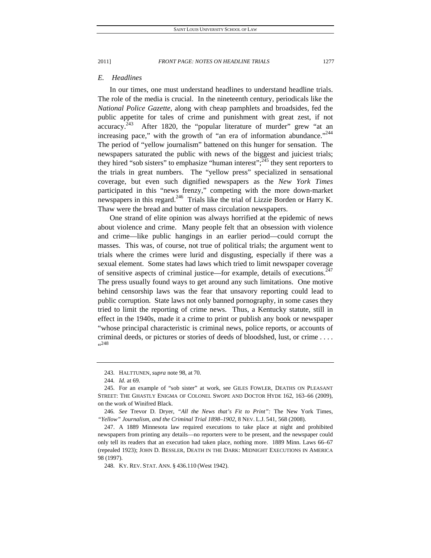#### *E. Headlines*

In our times, one must understand headlines to understand headline trials. The role of the media is crucial. In the nineteenth century, periodicals like the *National Police Gazette*, along with cheap pamphlets and broadsides, fed the public appetite for tales of crime and punishment with great zest, if not accuracy.<sup>243</sup> After 1820, the "popular literature of murder" grew "at an increasing pace," with the growth of "an era of information abundance."<sup>244</sup> The period of "yellow journalism" battened on this hunger for sensation. The newspapers saturated the public with news of the biggest and juiciest trials; they hired "sob sisters" to emphasize "human interest"; $^{245}$  they sent reporters to the trials in great numbers. The "yellow press" specialized in sensational coverage, but even such dignified newspapers as the *New York Times* participated in this "news frenzy," competing with the more down-market newspapers in this regard.<sup>246</sup> Trials like the trial of Lizzie Borden or Harry K. Thaw were the bread and butter of mass circulation newspapers.

One strand of elite opinion was always horrified at the epidemic of news about violence and crime. Many people felt that an obsession with violence and crime—like public hangings in an earlier period—could corrupt the masses. This was, of course, not true of political trials; the argument went to trials where the crimes were lurid and disgusting, especially if there was a sexual element. Some states had laws which tried to limit newspaper coverage of sensitive aspects of criminal justice—for example, details of executions.<sup>247</sup> The press usually found ways to get around any such limitations. One motive behind censorship laws was the fear that unsavory reporting could lead to public corruption. State laws not only banned pornography, in some cases they tried to limit the reporting of crime news. Thus, a Kentucky statute, still in effect in the 1940s, made it a crime to print or publish any book or newspaper "whose principal characteristic is criminal news, police reports, or accounts of criminal deeds, or pictures or stories of deeds of bloodshed, lust, or crime . . . . 248**ء** 

 <sup>243.</sup> HALTTUNEN, *supra* note 98, at 70.

<sup>244</sup>*. Id.* at 69.

 <sup>245.</sup> For an example of "sob sister" at work, see GILES FOWLER, DEATHS ON PLEASANT STREET: THE GHASTLY ENIGMA OF COLONEL SWOPE AND DOCTOR HYDE 162, 163–66 (2009), on the work of Winifred Black.

<sup>246</sup>*. See* Trevor D. Dryer, *"All the News that's Fit to Print":* The New York Times*, "Yellow" Journalism, and the Criminal Trial 1898–1902*, 8 NEV. L.J. 541, 568 (2008).

 <sup>247.</sup> A 1889 Minnesota law required executions to take place at night and prohibited newspapers from printing any details—no reporters were to be present, and the newspaper could only tell its readers that an execution had taken place, nothing more. 1889 Minn. Laws 66–67 (repealed 1923); JOHN D. BESSLER, DEATH IN THE DARK: MIDNIGHT EXECUTIONS IN AMERICA 98 (1997).

 <sup>248.</sup> KY. REV. STAT. ANN. § 436.110 (West 1942).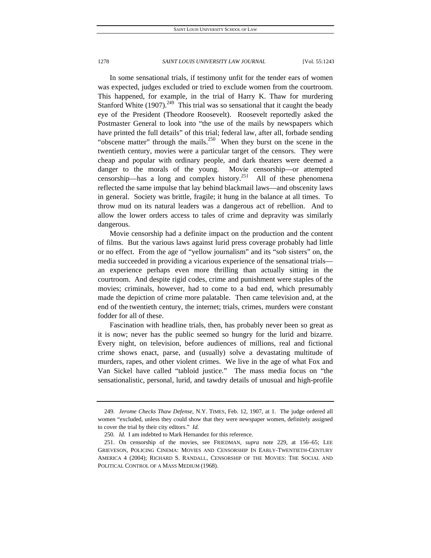In some sensational trials, if testimony unfit for the tender ears of women was expected, judges excluded or tried to exclude women from the courtroom. This happened, for example, in the trial of Harry K. Thaw for murdering Stanford White  $(1907)$ <sup>249</sup> This trial was so sensational that it caught the beady eye of the President (Theodore Roosevelt). Roosevelt reportedly asked the Postmaster General to look into "the use of the mails by newspapers which have printed the full details" of this trial; federal law, after all, forbade sending "obscene matter" through the mails.<sup>250</sup> When they burst on the scene in the twentieth century, movies were a particular target of the censors. They were cheap and popular with ordinary people, and dark theaters were deemed a danger to the morals of the young. Movie censorship—or attempted censorship—has a long and complex history.<sup>251</sup> All of these phenomena reflected the same impulse that lay behind blackmail laws—and obscenity laws in general. Society was brittle, fragile; it hung in the balance at all times. To throw mud on its natural leaders was a dangerous act of rebellion. And to allow the lower orders access to tales of crime and depravity was similarly dangerous.

Movie censorship had a definite impact on the production and the content of films. But the various laws against lurid press coverage probably had little or no effect. From the age of "yellow journalism" and its "sob sisters" on, the media succeeded in providing a vicarious experience of the sensational trials an experience perhaps even more thrilling than actually sitting in the courtroom. And despite rigid codes, crime and punishment were staples of the movies; criminals, however, had to come to a bad end, which presumably made the depiction of crime more palatable. Then came television and, at the end of the twentieth century, the internet; trials, crimes, murders were constant fodder for all of these.

Fascination with headline trials, then, has probably never been so great as it is now; never has the public seemed so hungry for the lurid and bizarre. Every night, on television, before audiences of millions, real and fictional crime shows enact, parse, and (usually) solve a devastating multitude of murders, rapes, and other violent crimes. We live in the age of what Fox and Van Sickel have called "tabloid justice." The mass media focus on "the sensationalistic, personal, lurid, and tawdry details of unusual and high-profile

<sup>249</sup>*. Jerome Checks Thaw Defense*, N.Y. TIMES, Feb. 12, 1907, at 1. The judge ordered all women "excluded, unless they could show that they were newspaper women, definitely assigned to cover the trial by their city editors." *Id.*

<sup>250</sup>*. Id.* I am indebted to Mark Hernandez for this reference.

 <sup>251.</sup> On censorship of the movies, see FRIEDMAN, *supra* note 229, at 156–65; LEE GRIEVESON, POLICING CINEMA: MOVIES AND CENSORSHIP IN EARLY-TWENTIETH-CENTURY AMERICA 4 (2004); RICHARD S. RANDALL, CENSORSHIP OF THE MOVIES: THE SOCIAL AND POLITICAL CONTROL OF A MASS MEDIUM (1968).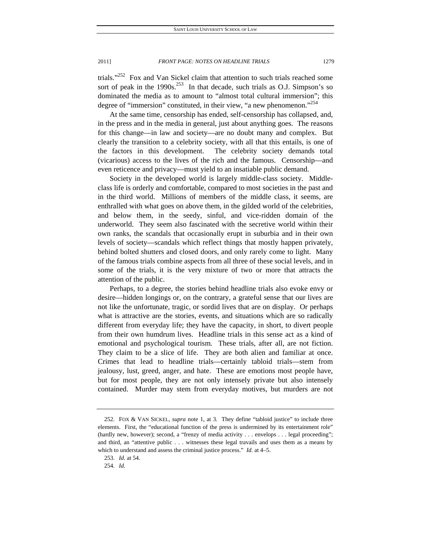trials."<sup>252</sup> Fox and Van Sickel claim that attention to such trials reached some sort of peak in the  $1990s$ <sup>253</sup> In that decade, such trials as O.J. Simpson's so dominated the media as to amount to "almost total cultural immersion"; this degree of "immersion" constituted, in their view, "a new phenomenon."<sup>254</sup>

At the same time, censorship has ended, self-censorship has collapsed, and, in the press and in the media in general, just about anything goes. The reasons for this change—in law and society—are no doubt many and complex. But clearly the transition to a celebrity society, with all that this entails, is one of the factors in this development. The celebrity society demands total (vicarious) access to the lives of the rich and the famous. Censorship—and even reticence and privacy—must yield to an insatiable public demand.

Society in the developed world is largely middle-class society. Middleclass life is orderly and comfortable, compared to most societies in the past and in the third world. Millions of members of the middle class, it seems, are enthralled with what goes on above them, in the gilded world of the celebrities, and below them, in the seedy, sinful, and vice-ridden domain of the underworld. They seem also fascinated with the secretive world within their own ranks, the scandals that occasionally erupt in suburbia and in their own levels of society—scandals which reflect things that mostly happen privately, behind bolted shutters and closed doors, and only rarely come to light. Many of the famous trials combine aspects from all three of these social levels, and in some of the trials, it is the very mixture of two or more that attracts the attention of the public.

Perhaps, to a degree, the stories behind headline trials also evoke envy or desire—hidden longings or, on the contrary, a grateful sense that our lives are not like the unfortunate, tragic, or sordid lives that are on display. Or perhaps what is attractive are the stories, events, and situations which are so radically different from everyday life; they have the capacity, in short, to divert people from their own humdrum lives. Headline trials in this sense act as a kind of emotional and psychological tourism. These trials, after all, are not fiction. They claim to be a slice of life. They are both alien and familiar at once. Crimes that lead to headline trials—certainly tabloid trials—stem from jealousy, lust, greed, anger, and hate. These are emotions most people have, but for most people, they are not only intensely private but also intensely contained. Murder may stem from everyday motives, but murders are not

 <sup>252.</sup> FOX & VAN SICKEL, *supra* note 1, at 3. They define "tabloid justice" to include three elements. First, the "educational function of the press is undermined by its entertainment role" (hardly new, however); second, a "frenzy of media activity . . . envelops . . . legal proceeding"; and third, an "attentive public . . . witnesses these legal travails and uses them as a means by which to understand and assess the criminal justice process." *Id.* at 4–5.

<sup>253</sup>*. Id.* at 54.

<sup>254</sup>*. Id.*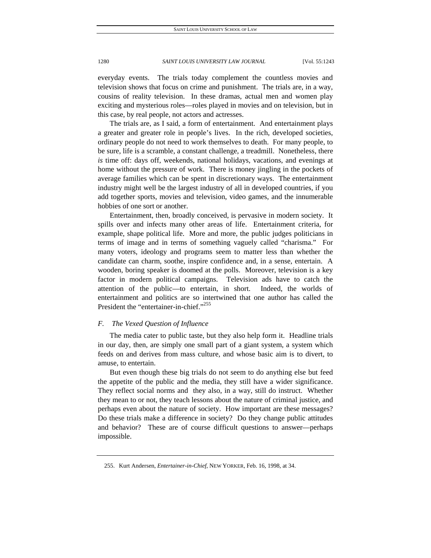everyday events. The trials today complement the countless movies and television shows that focus on crime and punishment. The trials are, in a way, cousins of reality television. In these dramas, actual men and women play exciting and mysterious roles—roles played in movies and on television, but in this case, by real people, not actors and actresses.

The trials are, as I said, a form of entertainment. And entertainment plays a greater and greater role in people's lives. In the rich, developed societies, ordinary people do not need to work themselves to death. For many people, to be sure, life is a scramble, a constant challenge, a treadmill. Nonetheless, there *is* time off: days off, weekends, national holidays, vacations, and evenings at home without the pressure of work. There is money jingling in the pockets of average families which can be spent in discretionary ways. The entertainment industry might well be the largest industry of all in developed countries, if you add together sports, movies and television, video games, and the innumerable hobbies of one sort or another.

Entertainment, then, broadly conceived, is pervasive in modern society. It spills over and infects many other areas of life. Entertainment criteria, for example, shape political life. More and more, the public judges politicians in terms of image and in terms of something vaguely called "charisma." For many voters, ideology and programs seem to matter less than whether the candidate can charm, soothe, inspire confidence and, in a sense, entertain. A wooden, boring speaker is doomed at the polls. Moreover, television is a key factor in modern political campaigns. Television ads have to catch the attention of the public—to entertain, in short. Indeed, the worlds of entertainment and politics are so intertwined that one author has called the President the "entertainer-in-chief."<sup>255</sup>

## *F. The Vexed Question of Influence*

The media cater to public taste, but they also help form it. Headline trials in our day, then, are simply one small part of a giant system, a system which feeds on and derives from mass culture, and whose basic aim is to divert, to amuse, to entertain.

But even though these big trials do not seem to do anything else but feed the appetite of the public and the media, they still have a wider significance. They reflect social norms and they also, in a way, still do instruct. Whether they mean to or not, they teach lessons about the nature of criminal justice, and perhaps even about the nature of society. How important are these messages? Do these trials make a difference in society? Do they change public attitudes and behavior? These are of course difficult questions to answer—perhaps impossible.

 <sup>255.</sup> Kurt Andersen, *Entertainer-in-Chief*, NEW YORKER, Feb. 16, 1998, at 34.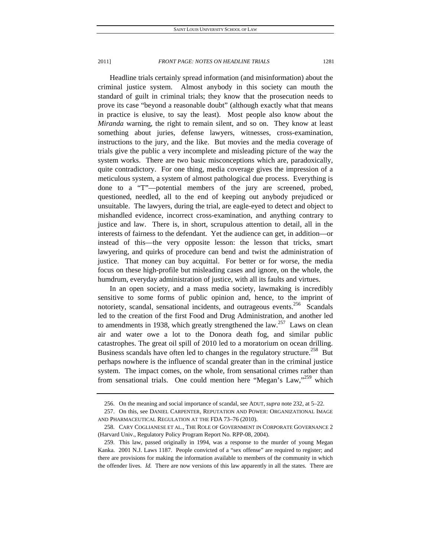Headline trials certainly spread information (and misinformation) about the criminal justice system. Almost anybody in this society can mouth the standard of guilt in criminal trials; they know that the prosecution needs to prove its case "beyond a reasonable doubt" (although exactly what that means in practice is elusive, to say the least). Most people also know about the *Miranda* warning, the right to remain silent, and so on. They know at least something about juries, defense lawyers, witnesses, cross-examination, instructions to the jury, and the like. But movies and the media coverage of trials give the public a very incomplete and misleading picture of the way the system works. There are two basic misconceptions which are, paradoxically, quite contradictory. For one thing, media coverage gives the impression of a meticulous system, a system of almost pathological due process. Everything is done to a "T"—potential members of the jury are screened, probed, questioned, needled, all to the end of keeping out anybody prejudiced or unsuitable. The lawyers, during the trial, are eagle-eyed to detect and object to mishandled evidence, incorrect cross-examination, and anything contrary to justice and law. There is, in short, scrupulous attention to detail, all in the interests of fairness to the defendant. Yet the audience can get, in addition—or instead of this—the very opposite lesson: the lesson that tricks, smart lawyering, and quirks of procedure can bend and twist the administration of justice. That money can buy acquittal. For better or for worse, the media focus on these high-profile but misleading cases and ignore, on the whole, the humdrum, everyday administration of justice, with all its faults and virtues.

In an open society, and a mass media society, lawmaking is incredibly sensitive to some forms of public opinion and, hence, to the imprint of notoriety, scandal, sensational incidents, and outrageous events.<sup>256</sup> Scandals led to the creation of the first Food and Drug Administration, and another led to amendments in 1938, which greatly strengthened the law.<sup>257</sup> Laws on clean air and water owe a lot to the Donora death fog, and similar public catastrophes. The great oil spill of 2010 led to a moratorium on ocean drilling. Business scandals have often led to changes in the regulatory structure.<sup>258</sup> But perhaps nowhere is the influence of scandal greater than in the criminal justice system. The impact comes, on the whole, from sensational crimes rather than from sensational trials. One could mention here "Megan's Law,"<sup>259</sup> which

 <sup>256.</sup> On the meaning and social importance of scandal, see ADUT, *supra* note 232, at 5–22.

 <sup>257.</sup> On this, see DANIEL CARPENTER, REPUTATION AND POWER: ORGANIZATIONAL IMAGE AND PHARMACEUTICAL REGULATION AT THE FDA 73–76 (2010).

 <sup>258.</sup> CARY COGLIANESE ET AL., THE ROLE OF GOVERNMENT IN CORPORATE GOVERNANCE 2 (Harvard Univ., Regulatory Policy Program Report No. RPP-08, 2004).

 <sup>259.</sup> This law, passed originally in 1994, was a response to the murder of young Megan Kanka. 2001 N.J. Laws 1187. People convicted of a "sex offense" are required to register; and there are provisions for making the information available to members of the community in which the offender lives. *Id.* There are now versions of this law apparently in all the states. There are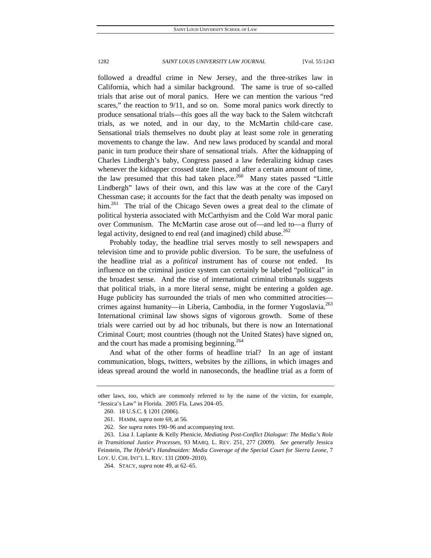followed a dreadful crime in New Jersey, and the three-strikes law in California, which had a similar background. The same is true of so-called trials that arise out of moral panics. Here we can mention the various "red scares," the reaction to 9/11, and so on. Some moral panics work directly to produce sensational trials—this goes all the way back to the Salem witchcraft trials, as we noted, and in our day, to the McMartin child-care case. Sensational trials themselves no doubt play at least some role in generating movements to change the law. And new laws produced by scandal and moral panic in turn produce their share of sensational trials. After the kidnapping of Charles Lindbergh's baby, Congress passed a law federalizing kidnap cases whenever the kidnapper crossed state lines, and after a certain amount of time, the law presumed that this had taken place.<sup>260</sup> Many states passed "Little" Lindbergh" laws of their own, and this law was at the core of the Caryl Chessman case; it accounts for the fact that the death penalty was imposed on him.<sup>261</sup> The trial of the Chicago Seven owes a great deal to the climate of political hysteria associated with McCarthyism and the Cold War moral panic over Communism. The McMartin case arose out of—and led to—a flurry of legal activity, designed to end real (and imagined) child abuse. $262$ 

Probably today, the headline trial serves mostly to sell newspapers and television time and to provide public diversion. To be sure, the usefulness of the headline trial as a *political* instrument has of course not ended. Its influence on the criminal justice system can certainly be labeled "political" in the broadest sense. And the rise of international criminal tribunals suggests that political trials, in a more literal sense, might be entering a golden age. Huge publicity has surrounded the trials of men who committed atrocitiescrimes against humanity—in Liberia, Cambodia, in the former Yugoslavia.<sup>263</sup> International criminal law shows signs of vigorous growth. Some of these trials were carried out by ad hoc tribunals, but there is now an International Criminal Court; most countries (though not the United States) have signed on, and the court has made a promising beginning.<sup>264</sup>

And what of the other forms of headline trial? In an age of instant communication, blogs, twitters, websites by the zillions, in which images and ideas spread around the world in nanoseconds, the headline trial as a form of

other laws, too, which are commonly referred to by the name of the victim, for example, "Jessica's Law" in Florida. 2005 Fla. Laws 204–05.

 <sup>260. 18</sup> U.S.C. § 1201 (2006).

 <sup>261.</sup> HAMM, *supra* note 69, at 56.

<sup>262</sup>*. See supra* notes 190–96 and accompanying text.

 <sup>263.</sup> Lisa J. Laplante & Kelly Phenicie, *Mediating Post-Conflict Dialogue: The Media's Role in Transitional Justice Processes*, 93 MARQ. L. REV. 251, 277 (2009). *See generally* Jessica Feinstein, *The Hybrid's Handmaiden: Media Coverage of the Special Court for Sierra Leone*, 7 LOY. U. CHI. INT'L L. REV. 131 (2009–2010).

 <sup>264.</sup> STACY, *supra* note 49, at 62–65.